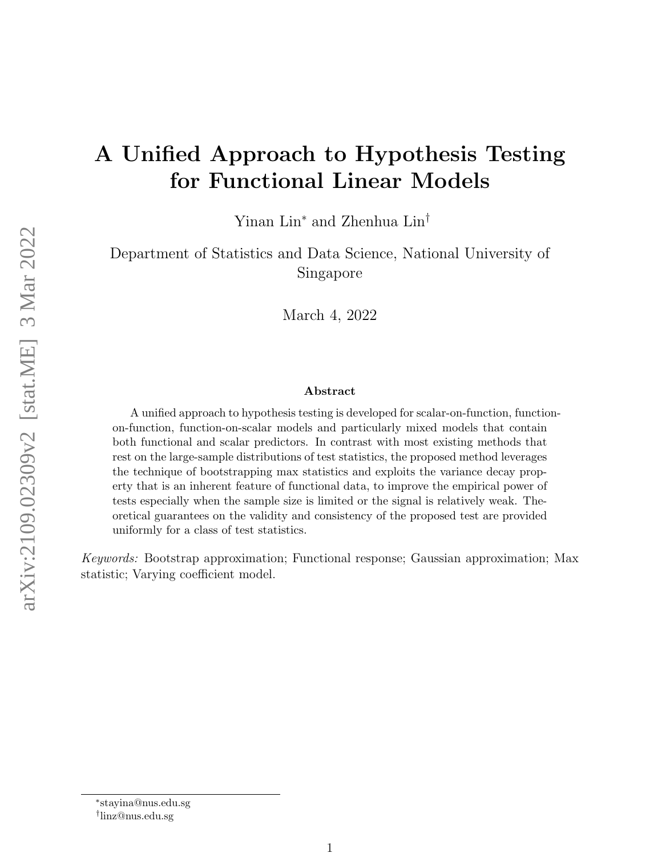# A Unified Approach to Hypothesis Testing for Functional Linear Models

Yinan Lin<sup>∗</sup> and Zhenhua Lin†

Department of Statistics and Data Science, National University of Singapore

March 4, 2022

#### Abstract

A unified approach to hypothesis testing is developed for scalar-on-function, functionon-function, function-on-scalar models and particularly mixed models that contain both functional and scalar predictors. In contrast with most existing methods that rest on the large-sample distributions of test statistics, the proposed method leverages the technique of bootstrapping max statistics and exploits the variance decay property that is an inherent feature of functional data, to improve the empirical power of tests especially when the sample size is limited or the signal is relatively weak. Theoretical guarantees on the validity and consistency of the proposed test are provided uniformly for a class of test statistics.

Keywords: Bootstrap approximation; Functional response; Gaussian approximation; Max statistic; Varying coefficient model.

<sup>∗</sup> stayina@nus.edu.sg

<sup>†</sup> linz@nus.edu.sg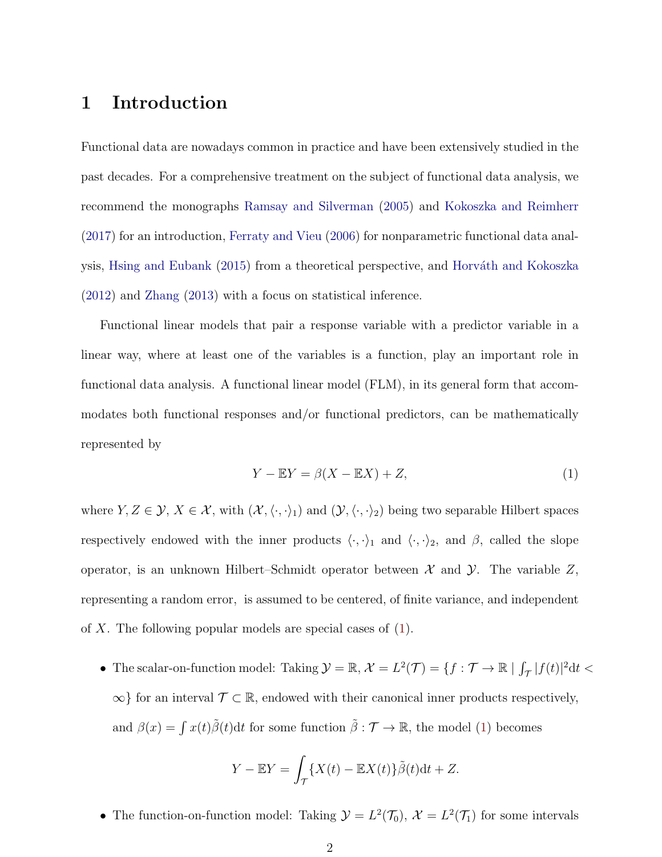## 1 Introduction

Functional data are nowadays common in practice and have been extensively studied in the past decades. For a comprehensive treatment on the subject of functional data analysis, we recommend the monographs [Ramsay and Silverman](#page-28-0) [\(2005\)](#page-28-0) and [Kokoszka and Reimherr](#page-27-0) [\(2017\)](#page-27-0) for an introduction, [Ferraty and Vieu](#page-26-0) [\(2006\)](#page-26-0) for nonparametric functional data anal-ysis, [Hsing and Eubank](#page-26-1) [\(2015\)](#page-26-1) from a theoretical perspective, and Horváth and Kokoszka [\(2012\)](#page-26-2) and [Zhang](#page-29-0) [\(2013\)](#page-29-0) with a focus on statistical inference.

Functional linear models that pair a response variable with a predictor variable in a linear way, where at least one of the variables is a function, play an important role in functional data analysis. A functional linear model (FLM), in its general form that accommodates both functional responses and/or functional predictors, can be mathematically represented by

<span id="page-1-0"></span>
$$
Y - \mathbb{E}Y = \beta(X - \mathbb{E}X) + Z,\tag{1}
$$

where  $Y, Z \in \mathcal{Y}, X \in \mathcal{X}$ , with  $(\mathcal{X}, \langle \cdot, \cdot \rangle_1)$  and  $(\mathcal{Y}, \langle \cdot, \cdot \rangle_2)$  being two separable Hilbert spaces respectively endowed with the inner products  $\langle \cdot, \cdot \rangle_1$  and  $\langle \cdot, \cdot \rangle_2$ , and  $\beta$ , called the slope operator, is an unknown Hilbert–Schmidt operator between  $\mathcal X$  and  $\mathcal Y$ . The variable  $Z$ , representing a random error, is assumed to be centered, of finite variance, and independent of X. The following popular models are special cases of [\(1\)](#page-1-0).

• The scalar-on-function model: Taking  $\mathcal{Y} = \mathbb{R}, \mathcal{X} = L^2(\mathcal{T}) = \{f : \mathcal{T} \to \mathbb{R} \mid \int_{\mathcal{T}} |f(t)|^2 dt <$  $\infty$ } for an interval  $\mathcal{T} \subset \mathbb{R}$ , endowed with their canonical inner products respectively, and  $\beta(x) = \int x(t)\tilde{\beta}(t)dt$  for some function  $\tilde{\beta}: \mathcal{T} \to \mathbb{R}$ , the model [\(1\)](#page-1-0) becomes

$$
Y - \mathbb{E}Y = \int_{\mathcal{T}} \{X(t) - \mathbb{E}X(t)\}\tilde{\beta}(t)dt + Z.
$$

• The function-on-function model: Taking  $\mathcal{Y} = L^2(\mathcal{T}_0)$ ,  $\mathcal{X} = L^2(\mathcal{T}_1)$  for some intervals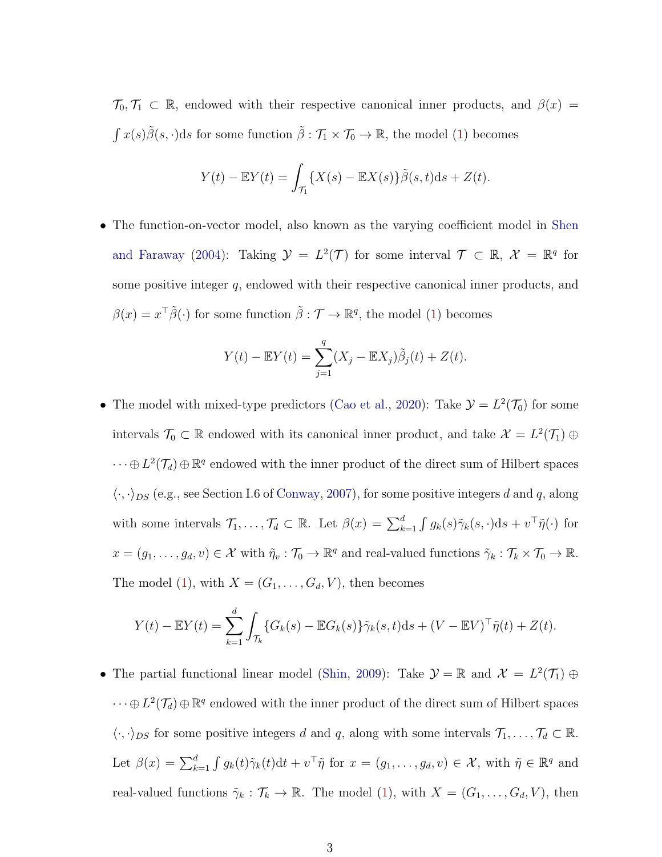$\mathcal{T}_0, \mathcal{T}_1 \subset \mathbb{R}$ , endowed with their respective canonical inner products, and  $\beta(x) =$  $\int x(s)\tilde{\beta}(s,\cdot)ds$  for some function  $\tilde{\beta}:\mathcal{T}_1\times\mathcal{T}_0\to\mathbb{R}$ , the model [\(1\)](#page-1-0) becomes

$$
Y(t) - \mathbb{E}Y(t) = \int_{\mathcal{T}_1} \{X(s) - \mathbb{E}X(s)\}\tilde{\beta}(s,t)\mathrm{d}s + Z(t).
$$

• The function-on-vector model, also known as the varying coefficient model in [Shen](#page-28-1) [and Faraway](#page-28-1) [\(2004\)](#page-28-1): Taking  $\mathcal{Y} = L^2(\mathcal{T})$  for some interval  $\mathcal{T} \subset \mathbb{R}, \mathcal{X} = \mathbb{R}^q$  for some positive integer q, endowed with their respective canonical inner products, and  $\beta(x) = x^{\top} \tilde{\beta}(\cdot)$  for some function  $\tilde{\beta} : \mathcal{T} \to \mathbb{R}^q$ , the model [\(1\)](#page-1-0) becomes

$$
Y(t) - \mathbb{E}Y(t) = \sum_{j=1}^{q} (X_j - \mathbb{E}X_j)\tilde{\beta}_j(t) + Z(t).
$$

• The model with mixed-type predictors [\(Cao et al.,](#page-26-3) [2020\)](#page-26-3): Take  $\mathcal{Y} = L^2(\mathcal{T}_0)$  for some intervals  $\mathcal{T}_0 \subset \mathbb{R}$  endowed with its canonical inner product, and take  $\mathcal{X} = L^2(\mathcal{T}_1) \oplus$  $\cdots \oplus L^2(\mathcal{T}_d) \oplus \mathbb{R}^q$  endowed with the inner product of the direct sum of Hilbert spaces  $\langle \cdot, \cdot \rangle_{DS}$  (e.g., see Section I.6 of [Conway,](#page-26-4) [2007\)](#page-26-4), for some positive integers d and q, along with some intervals  $\mathcal{T}_1,\ldots,\mathcal{T}_d \subset \mathbb{R}$ . Let  $\beta(x) = \sum_{k=1}^d \int g_k(s) \tilde{\gamma}_k(s,\cdot) \mathrm{d} s + v^\top \tilde{\eta}(\cdot)$  for  $x = (g_1, \ldots, g_d, v) \in \mathcal{X}$  with  $\tilde{\eta}_v : \mathcal{T}_0 \to \mathbb{R}^q$  and real-valued functions  $\tilde{\gamma}_k : \mathcal{T}_k \times \mathcal{T}_0 \to \mathbb{R}$ . The model [\(1\)](#page-1-0), with  $X = (G_1, \ldots, G_d, V)$ , then becomes

$$
Y(t) - \mathbb{E}Y(t) = \sum_{k=1}^{d} \int_{\mathcal{T}_k} \{ G_k(s) - \mathbb{E}G_k(s) \} \tilde{\gamma}_k(s, t) \, ds + (V - \mathbb{E}V)^{\top} \tilde{\eta}(t) + Z(t).
$$

• The partial functional linear model [\(Shin,](#page-28-2) [2009\)](#page-28-2): Take  $\mathcal{Y} = \mathbb{R}$  and  $\mathcal{X} = L^2(\mathcal{T}_1) \oplus$  $\cdots \oplus L^2(\mathcal{T}_d) \oplus \mathbb{R}^q$  endowed with the inner product of the direct sum of Hilbert spaces  $\langle \cdot, \cdot \rangle_{DS}$  for some positive integers d and q, along with some intervals  $\mathcal{T}_1, \ldots, \mathcal{T}_d \subset \mathbb{R}$ . Let  $\beta(x) = \sum_{k=1}^d \int g_k(t) \tilde{\gamma}_k(t) dt + v^\top \tilde{\eta}$  for  $x = (g_1, \dots, g_d, v) \in \mathcal{X}$ , with  $\tilde{\eta} \in \mathbb{R}^q$  and real-valued functions  $\tilde{\gamma}_k : \mathcal{T}_k \to \mathbb{R}$ . The model [\(1\)](#page-1-0), with  $X = (G_1, \ldots, G_d, V)$ , then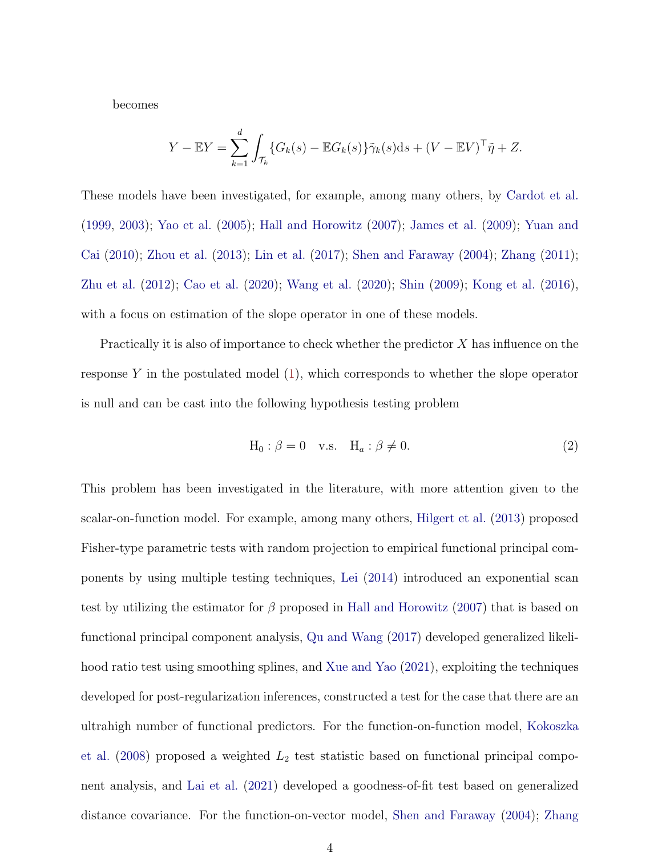becomes

$$
Y - \mathbb{E}Y = \sum_{k=1}^d \int_{\mathcal{T}_k} \{G_k(s) - \mathbb{E}G_k(s)\}\tilde{\gamma}_k(s)ds + (V - \mathbb{E}V)^{\top}\tilde{\eta} + Z.
$$

These models have been investigated, for example, among many others, by [Cardot et al.](#page-26-5) [\(1999,](#page-26-5) [2003\)](#page-26-6); [Yao et al.](#page-29-1) [\(2005\)](#page-29-1); [Hall and Horowitz](#page-26-7) [\(2007\)](#page-26-7); [James et al.](#page-26-8) [\(2009\)](#page-26-8); [Yuan and](#page-29-2) [Cai](#page-29-2) [\(2010\)](#page-29-2); [Zhou et al.](#page-29-3) [\(2013\)](#page-29-3); [Lin et al.](#page-27-1) [\(2017\)](#page-27-1); [Shen and Faraway](#page-28-1) [\(2004\)](#page-28-1); [Zhang](#page-29-4) [\(2011\)](#page-29-4); [Zhu et al.](#page-29-5) [\(2012\)](#page-29-5); [Cao et al.](#page-26-3) [\(2020\)](#page-26-3); [Wang et al.](#page-29-6) [\(2020\)](#page-29-6); [Shin](#page-28-2) [\(2009\)](#page-28-2); [Kong et al.](#page-27-2) [\(2016\)](#page-27-2), with a focus on estimation of the slope operator in one of these models.

Practically it is also of importance to check whether the predictor  $X$  has influence on the response  $Y$  in the postulated model  $(1)$ , which corresponds to whether the slope operator is null and can be cast into the following hypothesis testing problem

<span id="page-3-0"></span>
$$
H_0: \beta = 0 \quad v.s. \quad H_a: \beta \neq 0. \tag{2}
$$

This problem has been investigated in the literature, with more attention given to the scalar-on-function model. For example, among many others, [Hilgert et al.](#page-26-9) [\(2013\)](#page-26-9) proposed Fisher-type parametric tests with random projection to empirical functional principal components by using multiple testing techniques, [Lei](#page-27-3) [\(2014\)](#page-27-3) introduced an exponential scan test by utilizing the estimator for  $\beta$  proposed in [Hall and Horowitz](#page-26-7) [\(2007\)](#page-26-7) that is based on functional principal component analysis, [Qu and Wang](#page-28-3) [\(2017\)](#page-28-3) developed generalized likelihood ratio test using smoothing splines, and [Xue and Yao](#page-29-7) [\(2021\)](#page-29-7), exploiting the techniques developed for post-regularization inferences, constructed a test for the case that there are an ultrahigh number of functional predictors. For the function-on-function model, [Kokoszka](#page-27-4) [et al.](#page-27-4)  $(2008)$  proposed a weighted  $L_2$  test statistic based on functional principal component analysis, and [Lai et al.](#page-27-5) [\(2021\)](#page-27-5) developed a goodness-of-fit test based on generalized distance covariance. For the function-on-vector model, [Shen and Faraway](#page-28-1) [\(2004\)](#page-28-1); [Zhang](#page-29-4)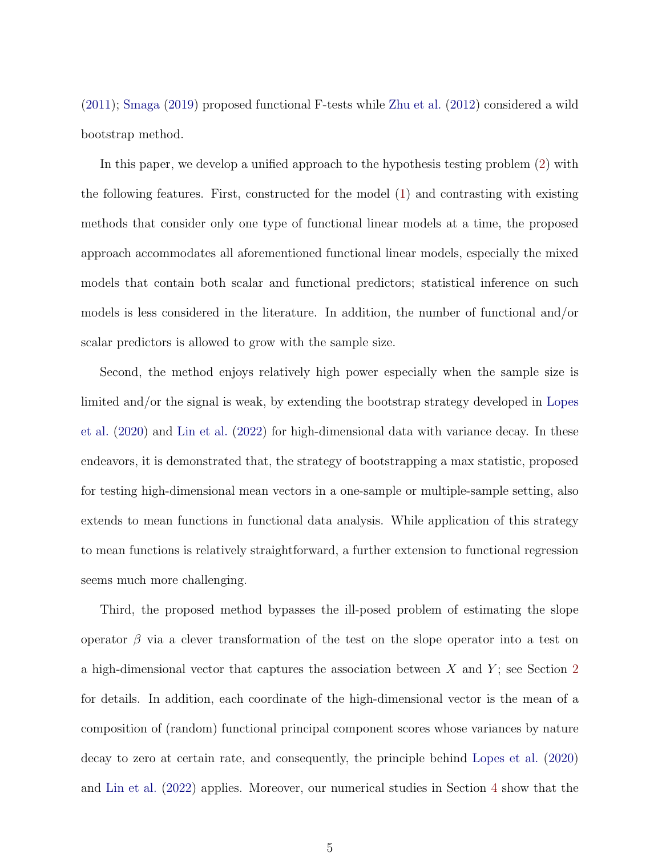[\(2011\)](#page-29-4); [Smaga](#page-28-4) [\(2019\)](#page-28-4) proposed functional F-tests while [Zhu et al.](#page-29-5) [\(2012\)](#page-29-5) considered a wild bootstrap method.

In this paper, we develop a unified approach to the hypothesis testing problem [\(2\)](#page-3-0) with the following features. First, constructed for the model [\(1\)](#page-1-0) and contrasting with existing methods that consider only one type of functional linear models at a time, the proposed approach accommodates all aforementioned functional linear models, especially the mixed models that contain both scalar and functional predictors; statistical inference on such models is less considered in the literature. In addition, the number of functional and/or scalar predictors is allowed to grow with the sample size.

Second, the method enjoys relatively high power especially when the sample size is limited and/or the signal is weak, by extending the bootstrap strategy developed in [Lopes](#page-27-6) [et al.](#page-27-6) [\(2020\)](#page-27-6) and [Lin et al.](#page-27-7) [\(2022\)](#page-27-7) for high-dimensional data with variance decay. In these endeavors, it is demonstrated that, the strategy of bootstrapping a max statistic, proposed for testing high-dimensional mean vectors in a one-sample or multiple-sample setting, also extends to mean functions in functional data analysis. While application of this strategy to mean functions is relatively straightforward, a further extension to functional regression seems much more challenging.

Third, the proposed method bypasses the ill-posed problem of estimating the slope operator  $\beta$  via a clever transformation of the test on the slope operator into a test on a high-dimensional vector that captures the association between  $X$  and  $Y$ ; see Section [2](#page-6-0) for details. In addition, each coordinate of the high-dimensional vector is the mean of a composition of (random) functional principal component scores whose variances by nature decay to zero at certain rate, and consequently, the principle behind [Lopes et al.](#page-27-6) [\(2020\)](#page-27-6) and [Lin et al.](#page-27-7) [\(2022\)](#page-27-7) applies. Moreover, our numerical studies in Section [4](#page-17-0) show that the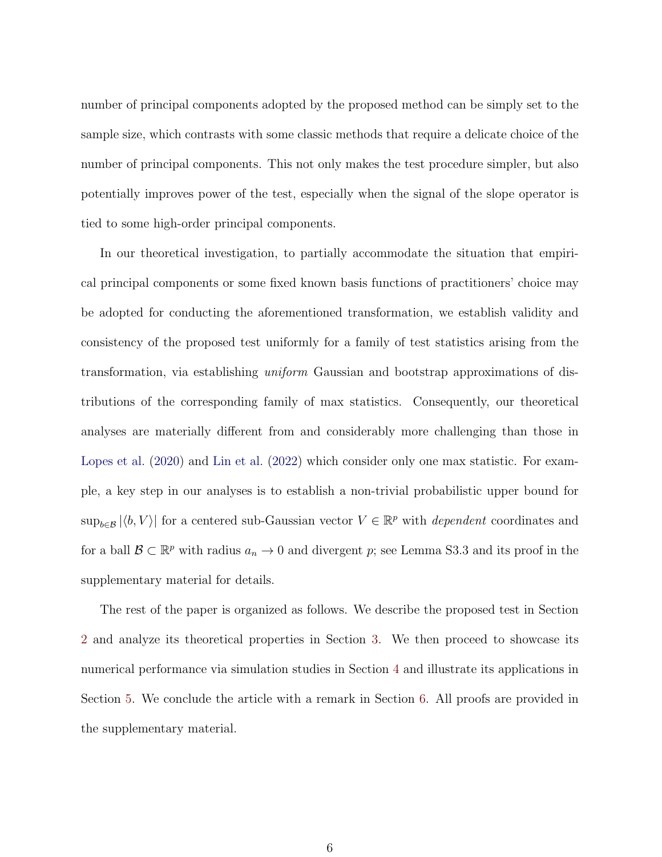number of principal components adopted by the proposed method can be simply set to the sample size, which contrasts with some classic methods that require a delicate choice of the number of principal components. This not only makes the test procedure simpler, but also potentially improves power of the test, especially when the signal of the slope operator is tied to some high-order principal components.

In our theoretical investigation, to partially accommodate the situation that empirical principal components or some fixed known basis functions of practitioners' choice may be adopted for conducting the aforementioned transformation, we establish validity and consistency of the proposed test uniformly for a family of test statistics arising from the transformation, via establishing uniform Gaussian and bootstrap approximations of distributions of the corresponding family of max statistics. Consequently, our theoretical analyses are materially different from and considerably more challenging than those in [Lopes et al.](#page-27-6) [\(2020\)](#page-27-6) and [Lin et al.](#page-27-7) [\(2022\)](#page-27-7) which consider only one max statistic. For example, a key step in our analyses is to establish a non-trivial probabilistic upper bound for  $\sup_{b\in\mathcal{B}} |\langle b, V\rangle|$  for a centered sub-Gaussian vector  $V \in \mathbb{R}^p$  with *dependent* coordinates and for a ball  $\mathcal{B} \subset \mathbb{R}^p$  with radius  $a_n \to 0$  and divergent p; see Lemma S3.3 and its proof in the supplementary material for details.

The rest of the paper is organized as follows. We describe the proposed test in Section [2](#page-6-0) and analyze its theoretical properties in Section [3.](#page-11-0) We then proceed to showcase its numerical performance via simulation studies in Section [4](#page-17-0) and illustrate its applications in Section [5.](#page-22-0) We conclude the article with a remark in Section [6.](#page-24-0) All proofs are provided in the supplementary material.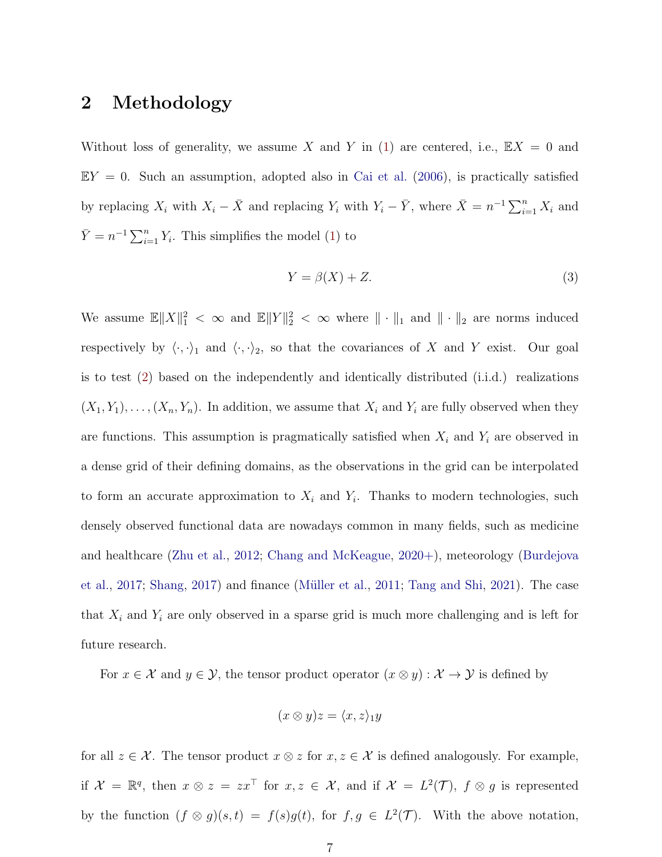#### <span id="page-6-0"></span>2 Methodology

Without loss of generality, we assume X and Y in [\(1\)](#page-1-0) are centered, i.e.,  $\mathbb{E}X = 0$  and  $EY = 0$ . Such an assumption, adopted also in [Cai et al.](#page-25-0) [\(2006\)](#page-25-0), is practically satisfied by replacing  $X_i$  with  $X_i - \bar{X}$  and replacing  $Y_i$  with  $Y_i - \bar{Y}$ , where  $\bar{X} = n^{-1} \sum_{i=1}^n X_i$  and  $\bar{Y} = n^{-1} \sum_{i=1}^{n} Y_i$ . This simplifies the model [\(1\)](#page-1-0) to

$$
Y = \beta(X) + Z.
$$
 (3)

We assume  $\mathbb{E} \|X\|_1^2 < \infty$  and  $\mathbb{E} \|Y\|_2^2 < \infty$  where  $\|\cdot\|_1$  and  $\|\cdot\|_2$  are norms induced respectively by  $\langle \cdot, \cdot \rangle_1$  and  $\langle \cdot, \cdot \rangle_2$ , so that the covariances of X and Y exist. Our goal is to test [\(2\)](#page-3-0) based on the independently and identically distributed (i.i.d.) realizations  $(X_1, Y_1), \ldots, (X_n, Y_n)$ . In addition, we assume that  $X_i$  and  $Y_i$  are fully observed when they are functions. This assumption is pragmatically satisfied when  $X_i$  and  $Y_i$  are observed in a dense grid of their defining domains, as the observations in the grid can be interpolated to form an accurate approximation to  $X_i$  and  $Y_i$ . Thanks to modern technologies, such densely observed functional data are nowadays common in many fields, such as medicine and healthcare [\(Zhu et al.,](#page-29-5) [2012;](#page-29-5) [Chang and McKeague,](#page-26-10) [2020+\)](#page-26-10), meteorology [\(Burdejova](#page-25-1) [et al.,](#page-25-1) [2017;](#page-25-1) [Shang,](#page-28-5) [2017\)](#page-28-5) and finance [\(M¨uller et al.,](#page-28-6) [2011;](#page-28-6) [Tang and Shi,](#page-28-7) [2021\)](#page-28-7). The case that  $X_i$  and  $Y_i$  are only observed in a sparse grid is much more challenging and is left for future research.

For  $x \in \mathcal{X}$  and  $y \in \mathcal{Y}$ , the tensor product operator  $(x \otimes y) : \mathcal{X} \to \mathcal{Y}$  is defined by

$$
(x \otimes y)z = \langle x, z \rangle_1 y
$$

for all  $z \in \mathcal{X}$ . The tensor product  $x \otimes z$  for  $x, z \in \mathcal{X}$  is defined analogously. For example, if  $\mathcal{X} = \mathbb{R}^q$ , then  $x \otimes z = zx^\top$  for  $x, z \in \mathcal{X}$ , and if  $\mathcal{X} = L^2(\mathcal{T})$ ,  $f \otimes g$  is represented by the function  $(f \otimes g)(s,t) = f(s)g(t)$ , for  $f, g \in L^2(\mathcal{T})$ . With the above notation,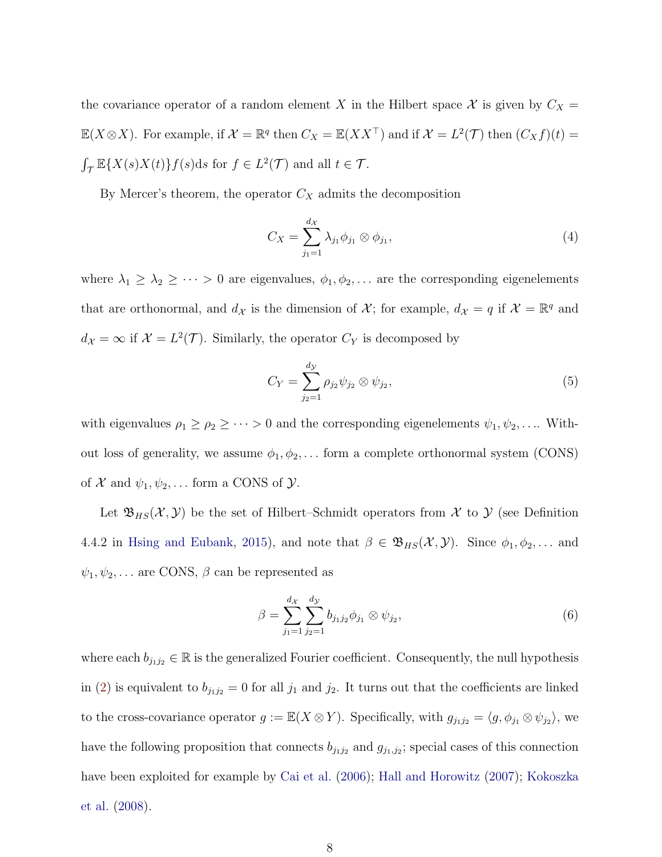the covariance operator of a random element X in the Hilbert space X is given by  $C_X =$  $\mathbb{E}(X\otimes X)$ . For example, if  $\mathcal{X} = \mathbb{R}^q$  then  $C_X = \mathbb{E}(XX^\top)$  and if  $\mathcal{X} = L^2(\mathcal{T})$  then  $(C_X f)(t) =$  $\int_{\mathcal{T}} \mathbb{E}\{X(s)X(t)\}f(s)ds$  for  $f \in L^2(\mathcal{T})$  and all  $t \in \mathcal{T}$ .

By Mercer's theorem, the operator  $C_X$  admits the decomposition

$$
C_X = \sum_{j_1=1}^{d_X} \lambda_{j_1} \phi_{j_1} \otimes \phi_{j_1},\tag{4}
$$

where  $\lambda_1 \geq \lambda_2 \geq \cdots > 0$  are eigenvalues,  $\phi_1, \phi_2, \ldots$  are the corresponding eigenelements that are orthonormal, and  $d_{\mathcal{X}}$  is the dimension of  $\mathcal{X}$ ; for example,  $d_{\mathcal{X}} = q$  if  $\mathcal{X} = \mathbb{R}^q$  and  $d_{\mathcal{X}} = \infty$  if  $\mathcal{X} = L^2(\mathcal{T})$ . Similarly, the operator  $C_Y$  is decomposed by

$$
C_Y = \sum_{j_2=1}^{d_{\mathcal{Y}}} \rho_{j_2} \psi_{j_2} \otimes \psi_{j_2},\tag{5}
$$

with eigenvalues  $\rho_1 \ge \rho_2 \ge \cdots > 0$  and the corresponding eigenelements  $\psi_1, \psi_2, \ldots$  Without loss of generality, we assume  $\phi_1, \phi_2, \ldots$  form a complete orthonormal system (CONS) of  $X$  and  $\psi_1, \psi_2, \dots$  form a CONS of  $Y$ .

Let  $\mathfrak{B}_{HS}(\mathcal{X}, \mathcal{Y})$  be the set of Hilbert–Schmidt operators from X to Y (see Definition 4.4.2 in [Hsing and Eubank,](#page-26-1) [2015\)](#page-26-1), and note that  $\beta \in \mathfrak{B}_{HS}(\mathcal{X}, \mathcal{Y})$ . Since  $\phi_1, \phi_2, \dots$  and  $\psi_1, \psi_2, \dots$  are CONS,  $\beta$  can be represented as

$$
\beta = \sum_{j_1=1}^{d_{\mathcal{X}}} \sum_{j_2=1}^{d_{\mathcal{Y}}} b_{j_1 j_2} \phi_{j_1} \otimes \psi_{j_2}, \tag{6}
$$

where each  $b_{j_1j_2} \in \mathbb{R}$  is the generalized Fourier coefficient. Consequently, the null hypothesis in [\(2\)](#page-3-0) is equivalent to  $b_{j_1j_2} = 0$  for all  $j_1$  and  $j_2$ . It turns out that the coefficients are linked to the cross-covariance operator  $g := \mathbb{E}(X \otimes Y)$ . Specifically, with  $g_{j_1 j_2} = \langle g, \phi_{j_1} \otimes \psi_{j_2} \rangle$ , we have the following proposition that connects  $b_{j_1j_2}$  and  $g_{j_1,j_2}$ ; special cases of this connection have been exploited for example by [Cai et al.](#page-25-0) [\(2006\)](#page-25-0); [Hall and Horowitz](#page-26-7) [\(2007\)](#page-26-7); [Kokoszka](#page-27-4) [et al.](#page-27-4) [\(2008\)](#page-27-4).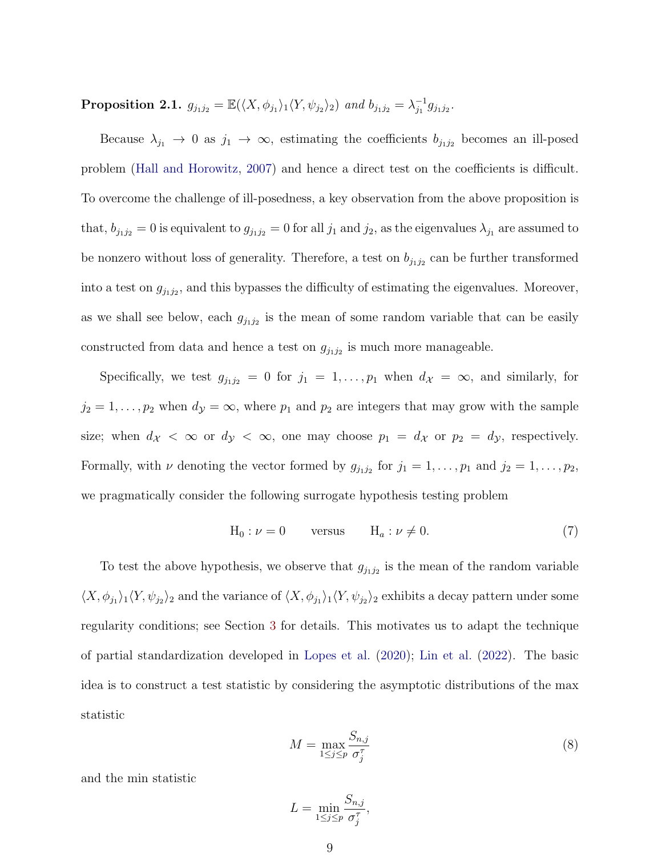**Proposition 2.1.**  $g_{j_1j_2} = \mathbb{E}(\langle X, \phi_{j_1} \rangle_1 \langle Y, \psi_{j_2} \rangle_2)$  and  $b_{j_1j_2} = \lambda_{j_1}^{-1}$  $^{-1}_{j_1}g_{j_1j_2}$ .

Because  $\lambda_{j_1} \to 0$  as  $j_1 \to \infty$ , estimating the coefficients  $b_{j_1j_2}$  becomes an ill-posed problem [\(Hall and Horowitz,](#page-26-7) [2007\)](#page-26-7) and hence a direct test on the coefficients is difficult. To overcome the challenge of ill-posedness, a key observation from the above proposition is that,  $b_{j_1j_2} = 0$  is equivalent to  $g_{j_1j_2} = 0$  for all  $j_1$  and  $j_2$ , as the eigenvalues  $\lambda_{j_1}$  are assumed to be nonzero without loss of generality. Therefore, a test on  $b_{j_1j_2}$  can be further transformed into a test on  $g_{j_1j_2}$ , and this bypasses the difficulty of estimating the eigenvalues. Moreover, as we shall see below, each  $g_{j_1j_2}$  is the mean of some random variable that can be easily constructed from data and hence a test on  $g_{j_1j_2}$  is much more manageable.

Specifically, we test  $g_{j_1j_2} = 0$  for  $j_1 = 1, \ldots, p_1$  when  $d_{\mathcal{X}} = \infty$ , and similarly, for  $j_2 = 1, \ldots, p_2$  when  $d_{\mathcal{Y}} = \infty$ , where  $p_1$  and  $p_2$  are integers that may grow with the sample size; when  $d_{\mathcal{X}} < \infty$  or  $d_{\mathcal{Y}} < \infty$ , one may choose  $p_1 = d_{\mathcal{X}}$  or  $p_2 = d_{\mathcal{Y}}$ , respectively. Formally, with  $\nu$  denoting the vector formed by  $g_{j_1j_2}$  for  $j_1 = 1, \ldots, p_1$  and  $j_2 = 1, \ldots, p_2$ , we pragmatically consider the following surrogate hypothesis testing problem

<span id="page-8-0"></span>
$$
H_0: \nu = 0 \qquad \text{versus} \qquad H_a: \nu \neq 0. \tag{7}
$$

To test the above hypothesis, we observe that  $g_{j_1j_2}$  is the mean of the random variable  $\langle X, \phi_{j_1}\rangle_1 \langle Y, \psi_{j_2}\rangle_2$  and the variance of  $\langle X, \phi_{j_1}\rangle_1 \langle Y, \psi_{j_2}\rangle_2$  exhibits a decay pattern under some regularity conditions; see Section [3](#page-11-0) for details. This motivates us to adapt the technique of partial standardization developed in [Lopes et al.](#page-27-6) [\(2020\)](#page-27-6); [Lin et al.](#page-27-7) [\(2022\)](#page-27-7). The basic idea is to construct a test statistic by considering the asymptotic distributions of the max statistic

<span id="page-8-1"></span>
$$
M = \max_{1 \le j \le p} \frac{S_{n,j}}{\sigma_j^{\tau}}
$$
 (8)

and the min statistic

$$
L = \min_{1 \le j \le p} \frac{S_{n,j}}{\sigma_j^{\tau}},
$$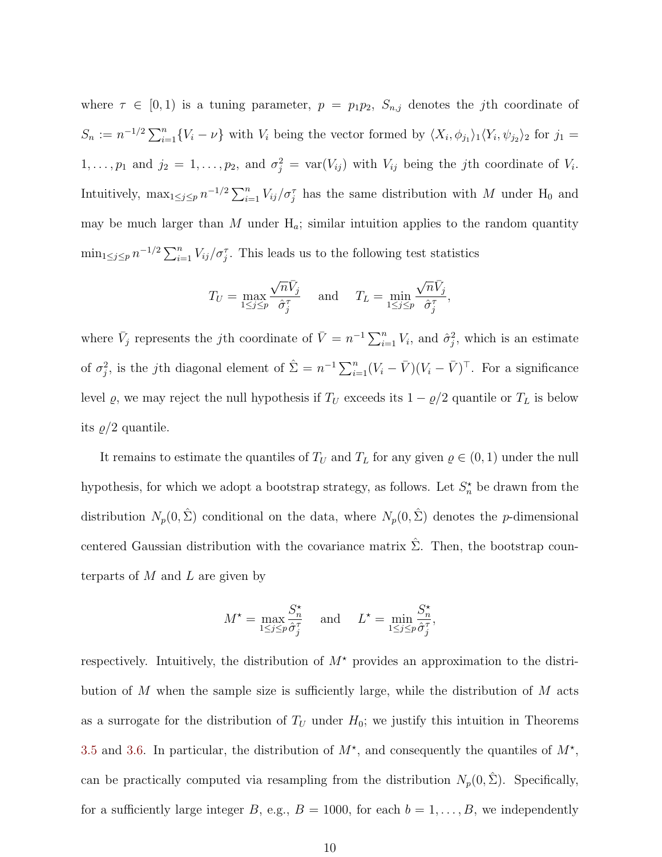where  $\tau \in [0,1)$  is a tuning parameter,  $p = p_1p_2$ ,  $S_{n,j}$  denotes the *j*th coordinate of  $S_n := n^{-1/2} \sum_{i=1}^n \{V_i - \nu\}$  with  $V_i$  being the vector formed by  $\langle X_i, \phi_{j_1} \rangle_1 \langle Y_i, \psi_{j_2} \rangle_2$  for  $j_1 =$  $1, \ldots, p_1$  and  $j_2 = 1, \ldots, p_2$ , and  $\sigma_j^2 = \text{var}(V_{ij})$  with  $V_{ij}$  being the *j*th coordinate of  $V_i$ . Intuitively,  $\max_{1 \leq j \leq p} n^{-1/2} \sum_{i=1}^n V_{ij}/\sigma_j^{\tau}$  has the same distribution with M under H<sub>0</sub> and may be much larger than  $M$  under  $H_a$ ; similar intuition applies to the random quantity  $\min_{1 \leq j \leq p} n^{-1/2} \sum_{i=1}^n V_{ij}/\sigma_j^{\tau}$ . This leads us to the following test statistics

$$
T_U = \max_{1 \le j \le p} \frac{\sqrt{n} \bar{V}_j}{\hat{\sigma}_j^{\tau}} \quad \text{ and } \quad T_L = \min_{1 \le j \le p} \frac{\sqrt{n} \bar{V}_j}{\hat{\sigma}_j^{\tau}},
$$

where  $\bar{V}_j$  represents the jth coordinate of  $\bar{V} = n^{-1} \sum_{i=1}^n V_i$ , and  $\hat{\sigma}_j^2$ , which is an estimate of  $\sigma_j^2$ , is the jth diagonal element of  $\hat{\Sigma} = n^{-1} \sum_{i=1}^n (V_i - \bar{V})(V_i - \bar{V})^\top$ . For a significance level  $\varrho$ , we may reject the null hypothesis if  $T_U$  exceeds its  $1 - \varrho/2$  quantile or  $T_L$  is below its  $\rho/2$  quantile.

It remains to estimate the quantiles of  $T_U$  and  $T_L$  for any given  $\varrho \in (0,1)$  under the null hypothesis, for which we adopt a bootstrap strategy, as follows. Let  $S_n^*$  be drawn from the distribution  $N_p(0, \hat{\Sigma})$  conditional on the data, where  $N_p(0, \hat{\Sigma})$  denotes the *p*-dimensional centered Gaussian distribution with the covariance matrix  $\hat{\Sigma}$ . Then, the bootstrap counterparts of  $M$  and  $L$  are given by

$$
M^* = \max_{1 \le j \le p} \frac{S_n^*}{\hat{\sigma}_j^{\tau}} \quad \text{ and } \quad L^* = \min_{1 \le j \le p} \frac{S_n^*}{\hat{\sigma}_j^{\tau}},
$$

respectively. Intuitively, the distribution of  $M^*$  provides an approximation to the distribution of M when the sample size is sufficiently large, while the distribution of M acts as a surrogate for the distribution of  $T_U$  under  $H_0$ ; we justify this intuition in Theorems [3.5](#page-15-0) and [3.6.](#page-15-1) In particular, the distribution of  $M^*$ , and consequently the quantiles of  $M^*$ , can be practically computed via resampling from the distribution  $N_p(0, \hat{\Sigma})$ . Specifically, for a sufficiently large integer B, e.g.,  $B = 1000$ , for each  $b = 1, ..., B$ , we independently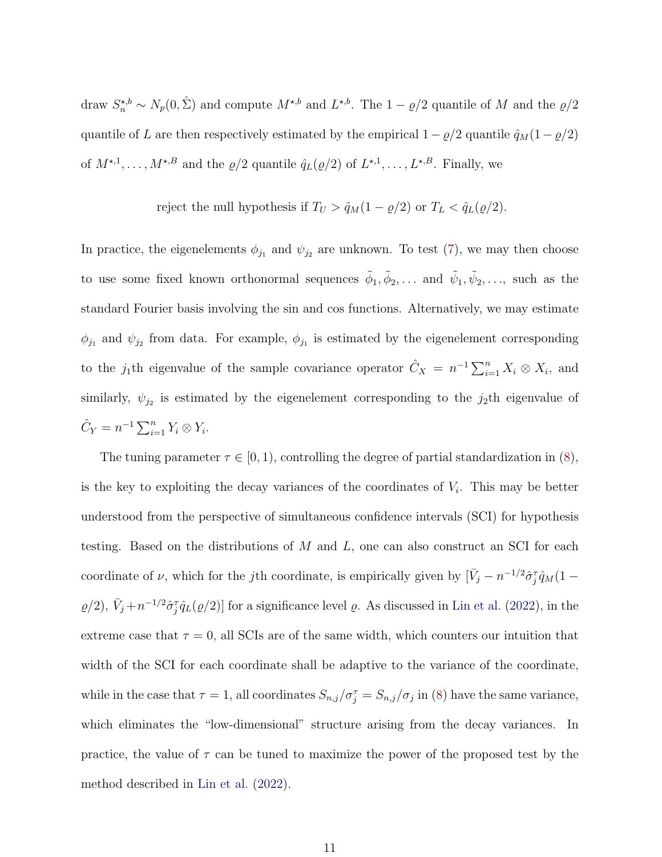draw  $S_n^{\star,b} \sim N_p(0,\hat{\Sigma})$  and compute  $M^{\star,b}$  and  $L^{\star,b}$ . The  $1-\varrho/2$  quantile of M and the  $\varrho/2$ quantile of L are then respectively estimated by the empirical  $1 - \varrho/2$  quantile  $\hat{q}_M(1 - \varrho/2)$ of  $M^{\star,1}, \ldots, M^{\star,B}$  and the  $\varrho/2$  quantile  $\hat{q}_L(\varrho/2)$  of  $L^{\star,1}, \ldots, L^{\star,B}$ . Finally, we

reject the null hypothesis if  $T_U > \hat{q}_M(1 - \varrho/2)$  or  $T_L < \hat{q}_L(\varrho/2)$ .

In practice, the eigenelements  $\phi_{j_1}$  and  $\psi_{j_2}$  are unknown. To test [\(7\)](#page-8-0), we may then choose to use some fixed known orthonormal sequences  $\tilde{\phi}_1, \tilde{\phi}_2, \ldots$  and  $\tilde{\psi}_1, \tilde{\psi}_2, \ldots$ , such as the standard Fourier basis involving the sin and cos functions. Alternatively, we may estimate  $\phi_{j_1}$  and  $\psi_{j_2}$  from data. For example,  $\phi_{j_1}$  is estimated by the eigenelement corresponding to the j<sub>1</sub>th eigenvalue of the sample covariance operator  $\hat{C}_X = n^{-1} \sum_{i=1}^n X_i \otimes X_i$ , and similarly,  $\psi_{j_2}$  is estimated by the eigenelement corresponding to the  $j_2$ th eigenvalue of  $\hat{C}_Y = n^{-1} \sum_{i=1}^n Y_i \otimes Y_i.$ 

The tuning parameter  $\tau \in [0, 1)$ , controlling the degree of partial standardization in [\(8\)](#page-8-1), is the key to exploiting the decay variances of the coordinates of  $V_i$ . This may be better understood from the perspective of simultaneous confidence intervals (SCI) for hypothesis testing. Based on the distributions of M and L, one can also construct an SCI for each coordinate of  $\nu$ , which for the *j*th coordinate, is empirically given by  $[\bar{V}_j - n^{-1/2}\hat{\sigma}_j^T\hat{q}_M(1 (\varrho/2), \bar{V}_j + n^{-1/2}\hat{\sigma}_j^T \hat{q}_L(\varrho/2)]$  for a significance level  $\varrho$ . As discussed in [Lin et al.](#page-27-7) [\(2022\)](#page-27-7), in the extreme case that  $\tau = 0$ , all SCIs are of the same width, which counters our intuition that width of the SCI for each coordinate shall be adaptive to the variance of the coordinate, while in the case that  $\tau = 1$ , all coordinates  $S_{n,j}/\sigma_j^{\tau} = S_{n,j}/\sigma_j$  in [\(8\)](#page-8-1) have the same variance, which eliminates the "low-dimensional" structure arising from the decay variances. In practice, the value of  $\tau$  can be tuned to maximize the power of the proposed test by the method described in [Lin et al.](#page-27-7) [\(2022\)](#page-27-7).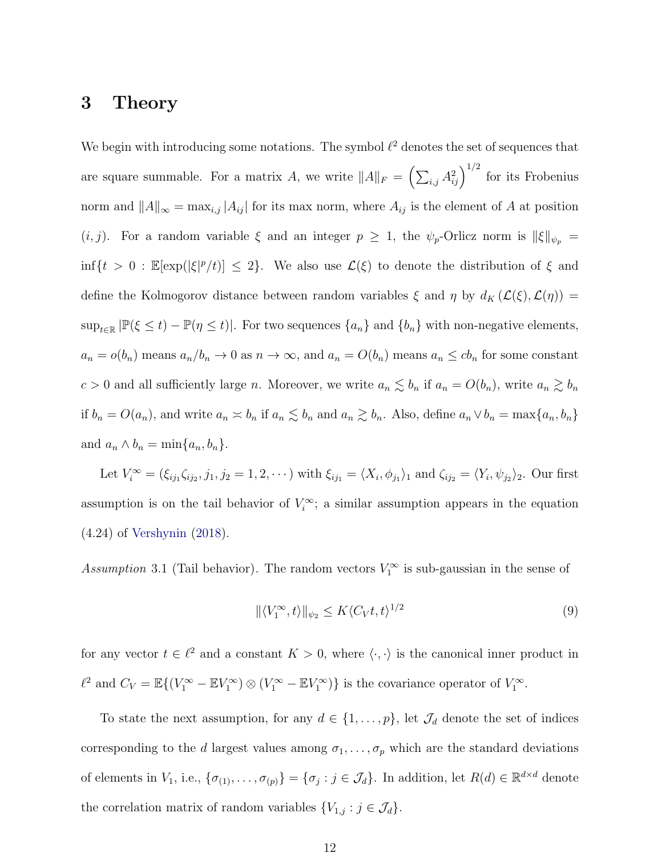#### <span id="page-11-0"></span>3 Theory

We begin with introducing some notations. The symbol  $\ell^2$  denotes the set of sequences that are square summable. For a matrix A, we write  $||A||_F = \left(\sum_{i,j} A_{ij}^2\right)^{1/2}$  for its Frobenius norm and  $||A||_{\infty} = \max_{i,j} |A_{ij}|$  for its max norm, where  $A_{ij}$  is the element of A at position  $(i, j)$ . For a random variable  $\xi$  and an integer  $p \geq 1$ , the  $\psi_p$ -Orlicz norm is  $\|\xi\|_{\psi_p} =$  $\inf\{t>0: \mathbb{E}[\exp(|\xi|^p/t)] \leq 2\}$ . We also use  $\mathcal{L}(\xi)$  to denote the distribution of  $\xi$  and define the Kolmogorov distance between random variables  $\xi$  and  $\eta$  by  $d_K(\mathcal{L}(\xi), \mathcal{L}(\eta)) =$  $\sup_{t\in\mathbb{R}} |\mathbb{P}(\xi \leq t) - \mathbb{P}(\eta \leq t)|$ . For two sequences  $\{a_n\}$  and  $\{b_n\}$  with non-negative elements,  $a_n = o(b_n)$  means  $a_n/b_n \to 0$  as  $n \to \infty$ , and  $a_n = O(b_n)$  means  $a_n \le cb_n$  for some constant  $c > 0$  and all sufficiently large n. Moreover, we write  $a_n \lesssim b_n$  if  $a_n = O(b_n)$ , write  $a_n \gtrsim b_n$ if  $b_n = O(a_n)$ , and write  $a_n \leq b_n$  if  $a_n \leq b_n$  and  $a_n \geq b_n$ . Also, define  $a_n \vee b_n = \max\{a_n, b_n\}$ and  $a_n \wedge b_n = \min\{a_n, b_n\}.$ 

Let  $V_i^{\infty} = (\xi_{ij_1}\zeta_{ij_2}, j_1, j_2 = 1, 2, \cdots)$  with  $\xi_{ij_1} = \langle X_i, \phi_{j_1} \rangle_1$  and  $\zeta_{ij_2} = \langle Y_i, \psi_{j_2} \rangle_2$ . Our first assumption is on the tail behavior of  $V_i^{\infty}$ ; a similar assumption appears in the equation (4.24) of [Vershynin](#page-28-8) [\(2018\)](#page-28-8).

<span id="page-11-1"></span>Assumption 3.1 (Tail behavior). The random vectors  $V_1^{\infty}$  is sub-gaussian in the sense of

$$
\|\langle V_1^{\infty}, t \rangle\|_{\psi_2} \le K \langle C_V t, t \rangle^{1/2} \tag{9}
$$

for any vector  $t \in \ell^2$  and a constant  $K > 0$ , where  $\langle \cdot, \cdot \rangle$  is the canonical inner product in  $\ell^2$  and  $C_V = \mathbb{E}\{(V_1^{\infty} - \mathbb{E}V_1^{\infty}) \otimes (V_1^{\infty} - \mathbb{E}V_1^{\infty})\}\$ is the covariance operator of  $V_1^{\infty}$ .

To state the next assumption, for any  $d \in \{1, \ldots, p\}$ , let  $\mathcal{J}_d$  denote the set of indices corresponding to the d largest values among  $\sigma_1, \ldots, \sigma_p$  which are the standard deviations of elements in  $V_1$ , i.e.,  $\{\sigma_{(1)}, \ldots, \sigma_{(p)}\} = \{\sigma_j : j \in \mathcal{J}_d\}$ . In addition, let  $R(d) \in \mathbb{R}^{d \times d}$  denote the correlation matrix of random variables  $\{V_{1,j} : j \in \mathcal{J}_d\}.$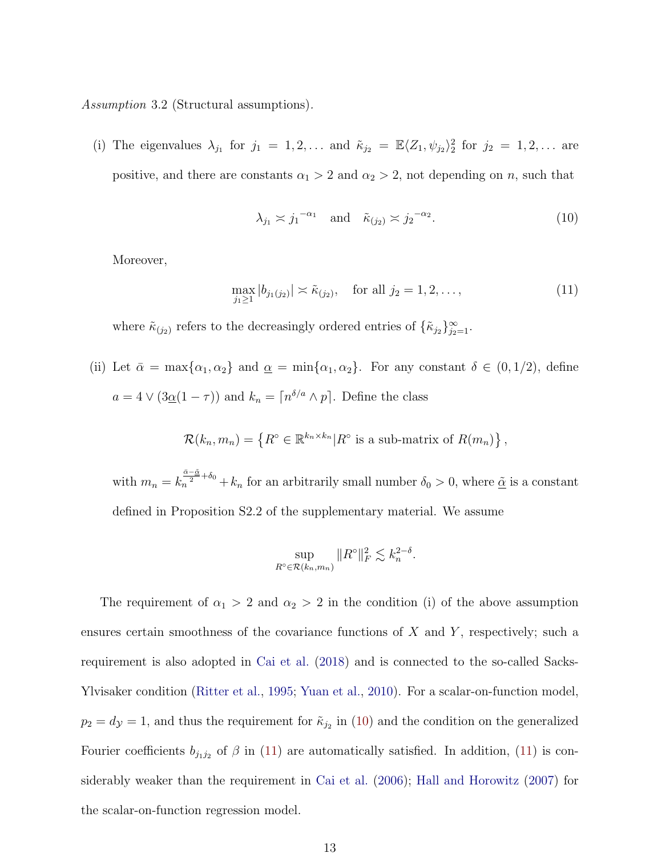<span id="page-12-2"></span>Assumption 3.2 (Structural assumptions).

(i) The eigenvalues  $\lambda_{j_1}$  for  $j_1 = 1, 2, \ldots$  and  $\tilde{\kappa}_{j_2} = \mathbb{E} \langle Z_1, \psi_{j_2} \rangle_2^2$  for  $j_2 = 1, 2, \ldots$  are positive, and there are constants  $\alpha_1 > 2$  and  $\alpha_2 > 2$ , not depending on n, such that

<span id="page-12-0"></span>
$$
\lambda_{j_1} \asymp j_1^{-\alpha_1} \quad \text{and} \quad \tilde{\kappa}_{(j_2)} \asymp j_2^{-\alpha_2}.\tag{10}
$$

Moreover,

<span id="page-12-1"></span>
$$
\max_{j_1 \ge 1} |b_{j_1(j_2)}| \asymp \tilde{\kappa}_{(j_2)}, \quad \text{for all } j_2 = 1, 2, \dots,
$$
\n(11)

where  $\tilde{\kappa}_{(j_2)}$  refers to the decreasingly ordered entries of  $\{\tilde{\kappa}_{j_2}\}_{j_2=1}^{\infty}$ .

(ii) Let  $\bar{\alpha} = \max\{\alpha_1, \alpha_2\}$  and  $\underline{\alpha} = \min\{\alpha_1, \alpha_2\}$ . For any constant  $\delta \in (0, 1/2)$ , define  $a = 4 \vee (3\underline{\alpha}(1-\tau))$  and  $k_n = \lceil n^{\delta/a} \wedge p \rceil$ . Define the class

$$
\mathcal{R}(k_n, m_n) = \left\{ R^{\circ} \in \mathbb{R}^{k_n \times k_n} | R^{\circ} \text{ is a sub-matrix of } R(m_n) \right\},\
$$

with  $m_n = k_n^{\frac{\tilde{\alpha}-\tilde{\alpha}}{2}+\delta_0} + k_n$  for an arbitrarily small number  $\delta_0 > 0$ , where  $\tilde{\alpha}$  is a constant defined in Proposition S2.2 of the supplementary material. We assume

$$
\sup_{R^{\circ}\in\mathcal{R}(k_n,m_n)}\|R^{\circ}\|_F^2\lesssim k_n^{2-\delta}.
$$

The requirement of  $\alpha_1 > 2$  and  $\alpha_2 > 2$  in the condition (i) of the above assumption ensures certain smoothness of the covariance functions of  $X$  and  $Y$ , respectively; such a requirement is also adopted in [Cai et al.](#page-25-2) [\(2018\)](#page-25-2) and is connected to the so-called Sacks-Ylvisaker condition [\(Ritter et al.,](#page-28-9) [1995;](#page-28-9) [Yuan et al.,](#page-29-8) [2010\)](#page-29-8). For a scalar-on-function model,  $p_2 = d_y = 1$ , and thus the requirement for  $\tilde{\kappa}_{j_2}$  in [\(10\)](#page-12-0) and the condition on the generalized Fourier coefficients  $b_{j_1j_2}$  of  $\beta$  in [\(11\)](#page-12-1) are automatically satisfied. In addition, (11) is considerably weaker than the requirement in [Cai et al.](#page-25-0) [\(2006\)](#page-25-0); [Hall and Horowitz](#page-26-7) [\(2007\)](#page-26-7) for the scalar-on-function regression model.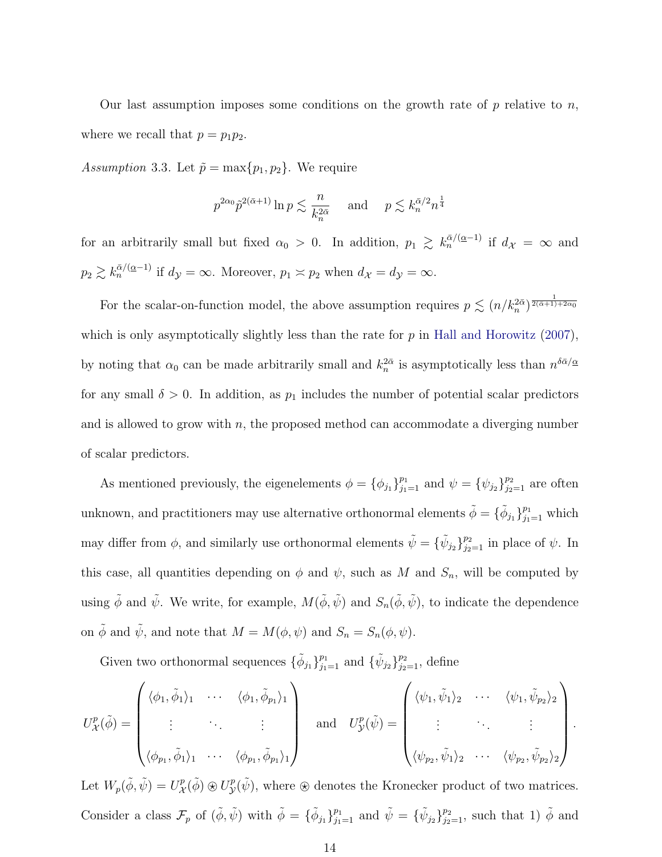Our last assumption imposes some conditions on the growth rate of  $p$  relative to  $n$ , where we recall that  $p = p_1 p_2$ .

<span id="page-13-0"></span>Assumption 3.3. Let  $\tilde{p} = \max\{p_1, p_2\}$ . We require

$$
p^{2\alpha_0} \tilde{p}^{2(\bar{\alpha}+1)} \ln p \lesssim \frac{n}{k_n^{2\bar{\alpha}}} \quad \text{ and } \quad p \lesssim k_n^{\bar{\alpha}/2} n^{\frac{1}{4}}
$$

for an arbitrarily small but fixed  $\alpha_0 > 0$ . In addition,  $p_1 \gtrsim k_n^{\bar{\alpha}/(\alpha-1)}$  if  $d_{\mathcal{X}} = \infty$  and  $p_2 \gtrsim k_n^{\bar{\alpha}/(\underline{\alpha}-1)}$  if  $d_{\mathcal{Y}} = \infty$ . Moreover,  $p_1 \asymp p_2$  when  $d_{\mathcal{X}} = d_{\mathcal{Y}} = \infty$ .

For the scalar-on-function model, the above assumption requires  $p \lesssim (n/k_n^{2\overline{\alpha}})^{\frac{1}{2(\overline{\alpha}+1)+2\alpha_0}}$ which is only asymptotically slightly less than the rate for  $p$  in [Hall and Horowitz](#page-26-7) [\(2007\)](#page-26-7), by noting that  $\alpha_0$  can be made arbitrarily small and  $k_n^{2\overline{\alpha}}$  is asymptotically less than  $n^{\delta\overline{\alpha}/\underline{\alpha}}$ for any small  $\delta > 0$ . In addition, as  $p_1$  includes the number of potential scalar predictors and is allowed to grow with  $n$ , the proposed method can accommodate a diverging number of scalar predictors.

As mentioned previously, the eigenelements  $\phi = {\phi_{j_1}}_{j_1=1}^{p_1}$  and  $\psi = {\psi_{j_2}}_{j_2=1}^{p_2}$  are often unknown, and practitioners may use alternative orthonormal elements  $\tilde{\phi} = \{\tilde{\phi}_{j_1}\}_{j_1=1}^{p_1}$  which may differ from  $\phi$ , and similarly use orthonormal elements  $\tilde{\psi} = {\{\tilde{\psi}_{j_2}\}}_{j_2=1}^{p_2}$  in place of  $\psi$ . In this case, all quantities depending on  $\phi$  and  $\psi$ , such as M and  $S_n$ , will be computed by using  $\tilde{\phi}$  and  $\tilde{\psi}$ . We write, for example,  $M(\tilde{\phi}, \tilde{\psi})$  and  $S_n(\tilde{\phi}, \tilde{\psi})$ , to indicate the dependence on  $\tilde{\phi}$  and  $\tilde{\psi}$ , and note that  $M = M(\phi, \psi)$  and  $S_n = S_n(\phi, \psi)$ .

Given two orthonormal sequences  $\{\tilde{\phi}_{j_1}\}_{j_1=1}^{p_1}$  and  $\{\tilde{\psi}_{j_2}\}_{j_2=1}^{p_2}$ , define

$$
U_{\mathcal{X}}^{p}(\tilde{\phi}) = \begin{pmatrix} \langle \phi_{1}, \tilde{\phi}_{1} \rangle_{1} & \cdots & \langle \phi_{1}, \tilde{\phi}_{p_{1}} \rangle_{1} \\ \vdots & \ddots & \vdots \\ \langle \phi_{p_{1}}, \tilde{\phi}_{1} \rangle_{1} & \cdots & \langle \phi_{p_{1}}, \tilde{\phi}_{p_{1}} \rangle_{1} \end{pmatrix} \quad \text{and} \quad U_{\mathcal{Y}}^{p}(\tilde{\psi}) = \begin{pmatrix} \langle \psi_{1}, \tilde{\psi}_{1} \rangle_{2} & \cdots & \langle \psi_{1}, \tilde{\psi}_{p_{2}} \rangle_{2} \\ \vdots & \ddots & \vdots \\ \langle \psi_{p_{2}}, \tilde{\psi}_{1} \rangle_{2} & \cdots & \langle \psi_{p_{2}}, \tilde{\psi}_{p_{2}} \rangle_{2} \end{pmatrix}.
$$

Let  $W_p(\tilde{\phi}, \tilde{\psi}) = U^p_{\mathcal{X}}$  $\chi^p(\tilde{\phi}) \otimes U^p_{\mathcal{Y}}(\tilde{\psi})$ , where  $\otimes$  denotes the Kronecker product of two matrices. Consider a class  $\mathcal{F}_p$  of  $(\tilde{\phi}, \tilde{\psi})$  with  $\tilde{\phi} = {\{\tilde{\phi}_{j_1}\}}_{j_1=1}^{p_1}$  and  $\tilde{\psi} = {\{\tilde{\psi}_{j_2}\}}_{j_2=1}^{p_2}$ , such that 1)  $\tilde{\phi}$  and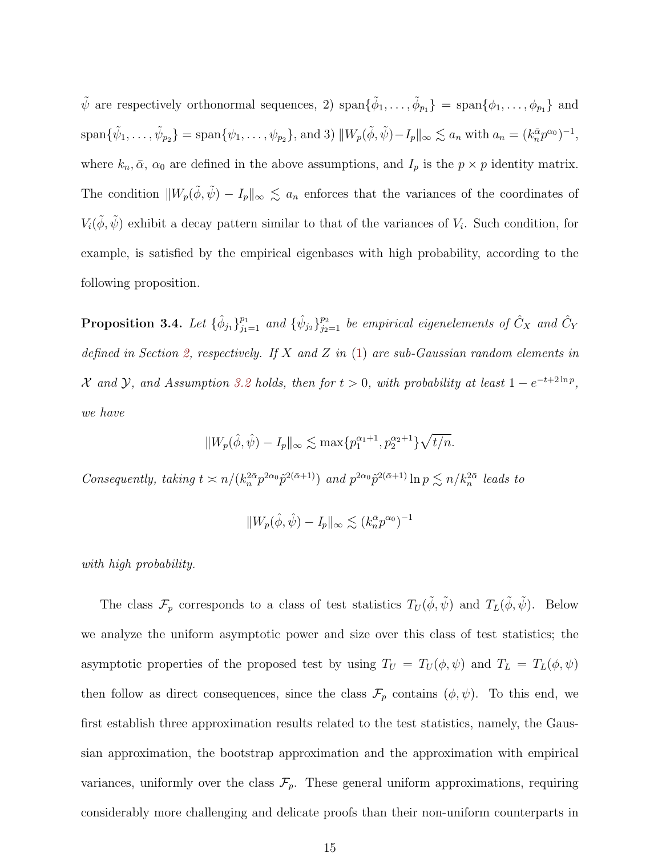$\tilde{\psi}$  are respectively orthonormal sequences, 2)  $\text{span}\{\tilde{\phi}_1,\ldots,\tilde{\phi}_{p_1}\} = \text{span}\{\phi_1,\ldots,\phi_{p_1}\}\$ and  $\text{span}\{\tilde{\psi}_1,\ldots,\tilde{\psi}_{p_2}\} = \text{span}\{\psi_1,\ldots,\psi_{p_2}\},\text{and 3) } \|W_p(\tilde{\phi},\tilde{\psi}) - I_p\|_\infty \lesssim a_n \text{ with } a_n = (k_n^{\bar{\alpha}}p^{\alpha_0})^{-1},$ where  $k_n, \bar{\alpha}$ ,  $\alpha_0$  are defined in the above assumptions, and  $I_p$  is the  $p \times p$  identity matrix. The condition  $||W_p(\tilde{\phi}, \tilde{\psi}) - I_p||_{\infty} \lesssim a_n$  enforces that the variances of the coordinates of  $V_i(\tilde{\phi}, \tilde{\psi})$  exhibit a decay pattern similar to that of the variances of  $V_i$ . Such condition, for example, is satisfied by the empirical eigenbases with high probability, according to the following proposition.

<span id="page-14-0"></span>**Proposition 3.4.** Let  $\{\hat{\phi}_{j_1}\}_{j_1=1}^{p_1}$  and  $\{\hat{\psi}_{j_2}\}_{j_2=1}^{p_2}$  be empirical eigenelements of  $\hat{C}_X$  and  $\hat{C}_Y$ defined in Section [2,](#page-6-0) respectively. If  $X$  and  $Z$  in  $(1)$  are sub-Gaussian random elements in X and Y, and Assumption [3.2](#page-12-2) holds, then for  $t > 0$ , with probability at least  $1 - e^{-t + 2\ln p}$ , we have

$$
||W_p(\hat{\phi}, \hat{\psi}) - I_p||_{\infty} \lesssim \max\{p_1^{\alpha_1+1}, p_2^{\alpha_2+1}\}\sqrt{t/n}.
$$

Consequently, taking  $t \ge n/(k_n^{2\bar{\alpha}} p^{2\alpha_0} \tilde{p}^{2(\bar{\alpha}+1)})$  and  $p^{2\alpha_0} \tilde{p}^{2(\bar{\alpha}+1)} \ln p \lesssim n/k_n^{2\bar{\alpha}}$  leads to

$$
||W_p(\hat{\phi}, \hat{\psi}) - I_p||_{\infty} \lesssim (k_n^{\bar{\alpha}} p^{\alpha_0})^{-1}
$$

with high probability.

The class  $\mathcal{F}_p$  corresponds to a class of test statistics  $T_U(\tilde{\phi}, \tilde{\psi})$  and  $T_L(\tilde{\phi}, \tilde{\psi})$ . Below we analyze the uniform asymptotic power and size over this class of test statistics; the asymptotic properties of the proposed test by using  $T_U = T_U(\phi, \psi)$  and  $T_L = T_L(\phi, \psi)$ then follow as direct consequences, since the class  $\mathcal{F}_p$  contains  $(\phi, \psi)$ . To this end, we first establish three approximation results related to the test statistics, namely, the Gaussian approximation, the bootstrap approximation and the approximation with empirical variances, uniformly over the class  $\mathcal{F}_p$ . These general uniform approximations, requiring considerably more challenging and delicate proofs than their non-uniform counterparts in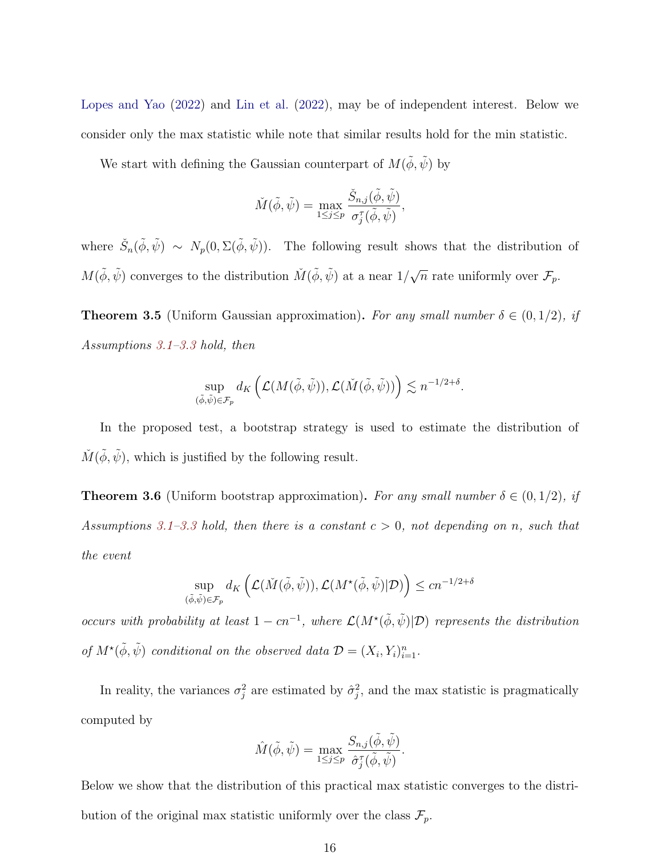[Lopes and Yao](#page-27-8) [\(2022\)](#page-27-8) and [Lin et al.](#page-27-7) [\(2022\)](#page-27-7), may be of independent interest. Below we consider only the max statistic while note that similar results hold for the min statistic.

We start with defining the Gaussian counterpart of  $M(\phi, \tilde{\psi})$  by

$$
\check{M}(\tilde{\phi}, \tilde{\psi}) = \max_{1 \leq j \leq p} \frac{\check{S}_{n,j}(\tilde{\phi}, \tilde{\psi})}{\sigma_j^{\tau}(\tilde{\phi}, \tilde{\psi})},
$$

where  $\check{S}_n(\tilde{\phi}, \tilde{\psi}) \sim N_p(0, \Sigma(\tilde{\phi}, \tilde{\psi}))$ . The following result shows that the distribution of  $M(\tilde{\phi}, \tilde{\psi})$  converges to the distribution  $\tilde{M}(\tilde{\phi}, \tilde{\psi})$  at a near  $1/\sqrt{\frac{2}{\pi}}$  $\overline{n}$  rate uniformly over  $\mathcal{F}_p$ .

<span id="page-15-0"></span>**Theorem 3.5** (Uniform Gaussian approximation). For any small number  $\delta \in (0, 1/2)$ , if Assumptions [3.1](#page-11-1)[–3.3](#page-13-0) hold, then

$$
\sup_{(\tilde{\phi},\tilde{\psi})\in\mathcal{F}_p} d_K\left(\mathcal{L}(M(\tilde{\phi},\tilde{\psi})),\mathcal{L}(\check{M}(\tilde{\phi},\tilde{\psi}))\right)\lesssim n^{-1/2+\delta}.
$$

In the proposed test, a bootstrap strategy is used to estimate the distribution of  $\check{M}(\tilde{\phi}, \tilde{\psi})$ , which is justified by the following result.

<span id="page-15-1"></span>**Theorem 3.6** (Uniform bootstrap approximation). For any small number  $\delta \in (0,1/2)$ , if Assumptions [3.1–](#page-11-1)[3.3](#page-13-0) hold, then there is a constant  $c > 0$ , not depending on n, such that the event

$$
\sup_{(\tilde{\phi}, \tilde{\psi}) \in \mathcal{F}_p} d_K \left( \mathcal{L}(\check{M}(\tilde{\phi}, \tilde{\psi})), \mathcal{L}(M^\star(\tilde{\phi}, \tilde{\psi}) | \mathcal{D}) \right) \le c n^{-1/2 + \delta}
$$

occurs with probability at least  $1 - cn^{-1}$ , where  $\mathcal{L}(M^{\star}(\tilde{\phi}, \tilde{\psi})|\mathcal{D})$  represents the distribution of  $M^{\star}(\tilde{\phi}, \tilde{\psi})$  conditional on the observed data  $\mathcal{D} = (X_i, Y_i)_{i=1}^n$ .

In reality, the variances  $\sigma_j^2$  are estimated by  $\hat{\sigma}_j^2$ , and the max statistic is pragmatically computed by

$$
\hat{M}(\tilde{\phi}, \tilde{\psi}) = \max_{1 \leq j \leq p} \frac{S_{n,j}(\tilde{\phi}, \tilde{\psi})}{\hat{\sigma}_j^{\tau}(\tilde{\phi}, \tilde{\psi})}.
$$

Below we show that the distribution of this practical max statistic converges to the distribution of the original max statistic uniformly over the class  $\mathcal{F}_p$ .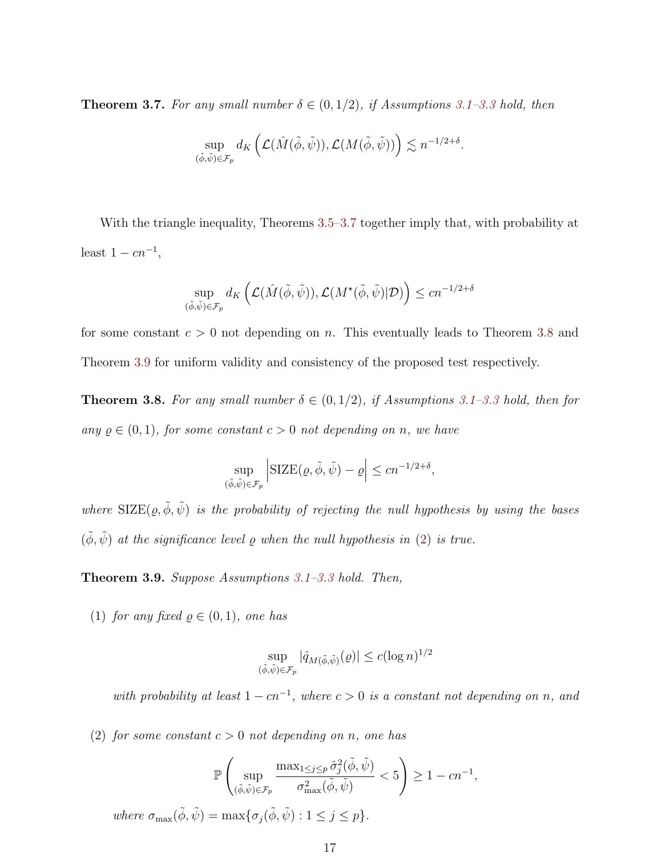<span id="page-16-0"></span>**Theorem 3.7.** For any small number  $\delta \in (0,1/2)$ , if Assumptions [3.1–](#page-11-1)[3.3](#page-13-0) hold, then

$$
\sup_{(\tilde{\phi},\tilde{\psi})\in \mathcal{F}_p} d_K\left(\mathcal{L}(\hat{M}(\tilde{\phi},\tilde{\psi})),\mathcal{L}(M(\tilde{\phi},\tilde{\psi}))\right)\lesssim n^{-1/2+\delta}.
$$

With the triangle inequality, Theorems [3.5–](#page-15-0)[3.7](#page-16-0) together imply that, with probability at least  $1 - cn^{-1}$ ,

$$
\sup_{(\tilde{\phi}, \tilde{\psi}) \in \mathcal{F}_p} d_K \left( \mathcal{L}(\hat{M}(\tilde{\phi}, \tilde{\psi})), \mathcal{L}(M^\star(\tilde{\phi}, \tilde{\psi}) | \mathcal{D}) \right) \le c n^{-1/2 + \delta}
$$

for some constant  $c > 0$  not depending on n. This eventually leads to Theorem [3.8](#page-16-1) and Theorem [3.9](#page-16-2) for uniform validity and consistency of the proposed test respectively.

<span id="page-16-1"></span>**Theorem 3.8.** For any small number  $\delta \in (0, 1/2)$ , if Assumptions [3.1–](#page-11-1)[3.3](#page-13-0) hold, then for any  $\rho \in (0, 1)$ , for some constant  $c > 0$  not depending on n, we have

$$
\sup_{(\tilde{\phi}, \tilde{\psi}) \in \mathcal{F}_p} \left| \text{SIZE}(\varrho, \tilde{\phi}, \tilde{\psi}) - \varrho \right| \le cn^{-1/2 + \delta},
$$

where  $\text{SIZE}(\varrho, \tilde{\phi}, \tilde{\psi})$  is the probability of rejecting the null hypothesis by using the bases  $(\phi, \psi)$  at the significance level  $\varrho$  when the null hypothesis in [\(2\)](#page-3-0) is true.

**Theorem 3.9.** Suppose Assumptions  $3.1-3.3$  $3.1-3.3$  hold. Then,

(1) for any fixed  $\rho \in (0,1)$ , one has

$$
\sup_{(\tilde{\phi}, \tilde{\psi}) \in \mathcal{F}_p} |\hat{q}_{M(\tilde{\phi}, \tilde{\psi})}(\varrho)| \le c (\log n)^{1/2}
$$

with probability at least  $1 - cn^{-1}$ , where  $c > 0$  is a constant not depending on n, and

<span id="page-16-2"></span>(2) for some constant  $c > 0$  not depending on n, one has

$$
\mathbb{P}\left(\sup_{(\tilde{\phi},\tilde{\psi})\in\mathcal{F}_p}\frac{\max_{1\leq j\leq p}\hat{\sigma}_j^2(\tilde{\phi},\tilde{\psi})}{\sigma_{\max}^2(\tilde{\phi},\tilde{\psi})}<5\right)\geq 1-cn^{-1},
$$

where  $\sigma_{\max}(\tilde{\phi}, \tilde{\psi}) = \max{\{\sigma_i(\tilde{\phi}, \tilde{\psi}) : 1 \leq j \leq p\}}$ .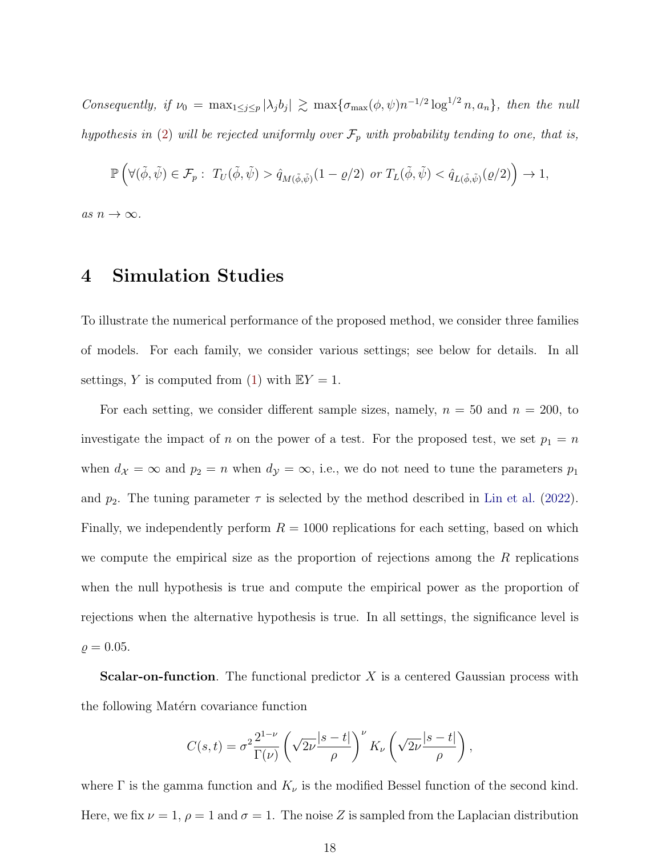Consequently, if  $\nu_0 = \max_{1 \leq j \leq p} |\lambda_j b_j| \gtrsim \max\{\sigma_{\max}(\phi, \psi) n^{-1/2} \log^{1/2} n, a_n\},\$  then the null hypothesis in [\(2\)](#page-3-0) will be rejected uniformly over  $\mathcal{F}_p$  with probability tending to one, that is,

$$
\mathbb{P}\left(\forall(\tilde{\phi},\tilde{\psi})\in\mathcal{F}_p:\ T_U(\tilde{\phi},\tilde{\psi})>\hat{q}_{M(\tilde{\phi},\tilde{\psi})}(1-\varrho/2)\ or\ T_L(\tilde{\phi},\tilde{\psi})<\hat{q}_{L(\tilde{\phi},\tilde{\psi})}(\varrho/2)\right)\to 1,
$$

<span id="page-17-0"></span>as  $n \to \infty$ .

#### 4 Simulation Studies

To illustrate the numerical performance of the proposed method, we consider three families of models. For each family, we consider various settings; see below for details. In all settings, Y is computed from [\(1\)](#page-1-0) with  $EY = 1$ .

For each setting, we consider different sample sizes, namely,  $n = 50$  and  $n = 200$ , to investigate the impact of n on the power of a test. For the proposed test, we set  $p_1 = n$ when  $d_{\mathcal{X}} = \infty$  and  $p_2 = n$  when  $d_{\mathcal{Y}} = \infty$ , i.e., we do not need to tune the parameters  $p_1$ and  $p_2$ . The tuning parameter  $\tau$  is selected by the method described in [Lin et al.](#page-27-7) [\(2022\)](#page-27-7). Finally, we independently perform  $R = 1000$  replications for each setting, based on which we compute the empirical size as the proportion of rejections among the  $R$  replications when the null hypothesis is true and compute the empirical power as the proportion of rejections when the alternative hypothesis is true. In all settings, the significance level is  $\rho = 0.05$ .

**Scalar-on-function.** The functional predictor  $X$  is a centered Gaussian process with the following Matérn covariance function

$$
C(s,t) = \sigma^2 \frac{2^{1-\nu}}{\Gamma(\nu)} \left(\sqrt{2\nu} \frac{|s-t|}{\rho}\right)^{\nu} K_{\nu} \left(\sqrt{2\nu} \frac{|s-t|}{\rho}\right),
$$

where  $\Gamma$  is the gamma function and  $K_{\nu}$  is the modified Bessel function of the second kind. Here, we fix  $\nu = 1$ ,  $\rho = 1$  and  $\sigma = 1$ . The noise Z is sampled from the Laplacian distribution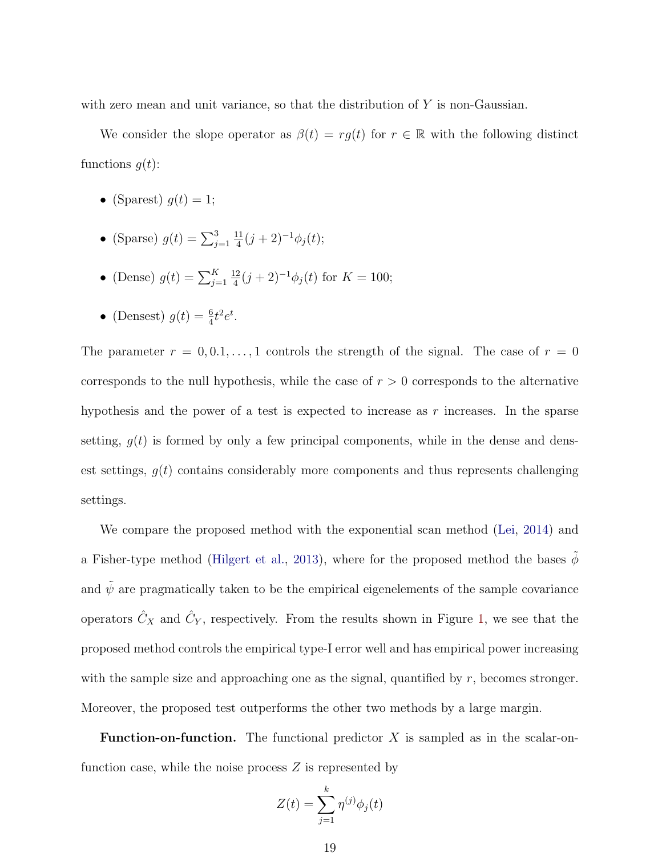with zero mean and unit variance, so that the distribution of Y is non-Gaussian.

We consider the slope operator as  $\beta(t) = rg(t)$  for  $r \in \mathbb{R}$  with the following distinct functions  $q(t)$ :

- (Sparest)  $q(t) = 1$ ;
- (Sparse)  $g(t) = \sum_{j=1}^{3}$ 11  $\frac{11}{4}(j+2)^{-1}\phi_j(t);$
- (Dense)  $g(t) = \sum_{j=1}^{K}$ 12  $\frac{12}{4}(j+2)^{-1}\phi_j(t)$  for  $K = 100;$
- (Densest)  $g(t) = \frac{6}{4}t^2 e^t$ .

The parameter  $r = 0, 0.1, \ldots, 1$  controls the strength of the signal. The case of  $r = 0$ corresponds to the null hypothesis, while the case of  $r > 0$  corresponds to the alternative hypothesis and the power of a test is expected to increase as  $r$  increases. In the sparse setting,  $g(t)$  is formed by only a few principal components, while in the dense and densest settings,  $q(t)$  contains considerably more components and thus represents challenging settings.

We compare the proposed method with the exponential scan method [\(Lei,](#page-27-3) [2014\)](#page-27-3) and a Fisher-type method [\(Hilgert et al.,](#page-26-9) [2013\)](#page-26-9), where for the proposed method the bases  $\tilde{\phi}$ and  $\tilde{\psi}$  are pragmatically taken to be the empirical eigenelements of the sample covariance operators  $\hat{C}_X$  and  $\hat{C}_Y$ , respectively. From the results shown in Figure [1,](#page-19-0) we see that the proposed method controls the empirical type-I error well and has empirical power increasing with the sample size and approaching one as the signal, quantified by  $r$ , becomes stronger. Moreover, the proposed test outperforms the other two methods by a large margin.

**Function-on-function.** The functional predictor  $X$  is sampled as in the scalar-onfunction case, while the noise process  $Z$  is represented by

$$
Z(t) = \sum_{j=1}^{k} \eta^{(j)} \phi_j(t)
$$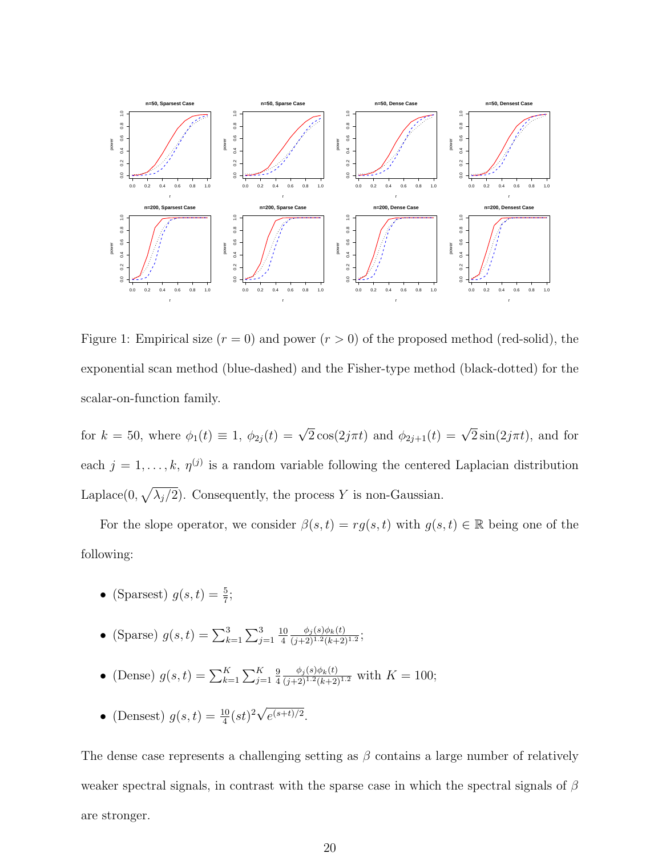

<span id="page-19-0"></span>Figure 1: Empirical size  $(r = 0)$  and power  $(r > 0)$  of the proposed method (red-solid), the exponential scan method (blue-dashed) and the Fisher-type method (black-dotted) for the scalar-on-function family.

for  $k = 50$ , where  $\phi_1(t) \equiv 1$ ,  $\phi_{2j}(t) = \sqrt{2} \cos(2j\pi t)$  and  $\phi_{2j+1}(t) = \sqrt{2} \sin(2j\pi t)$ , and for each  $j = 1, \ldots, k, \eta^{(j)}$  is a random variable following the centered Laplacian distribution Laplace(0,  $\sqrt{\lambda_j/2}$ ). Consequently, the process Y is non-Gaussian.

For the slope operator, we consider  $\beta(s,t) = rg(s,t)$  with  $g(s,t) \in \mathbb{R}$  being one of the following:

- (Sparsest)  $g(s,t) = \frac{5}{7}$ ;
- (Sparse)  $g(s,t) = \sum_{k=1}^{3} \sum_{j=1}^{3}$ 10 4  $\phi_j(s)\phi_k(t)$  $\frac{\varphi_j(s)\varphi_k(t)}{(j+2)^{1.2}(k+2)^{1.2}};$
- (Dense)  $g(s,t) = \sum_{k=1}^{K} \sum_{j=1}^{K}$ 9 4  $\frac{\phi_j(s)\phi_k(t)}{(j+2)^{1.2}(k+2)^{1.2}}$  with  $K = 100;$
- (Densest)  $g(s,t) = \frac{10}{4}(st)^2 \sqrt{ }$  $e^{(s+t)/2}.$

The dense case represents a challenging setting as  $\beta$  contains a large number of relatively weaker spectral signals, in contrast with the sparse case in which the spectral signals of  $\beta$ are stronger.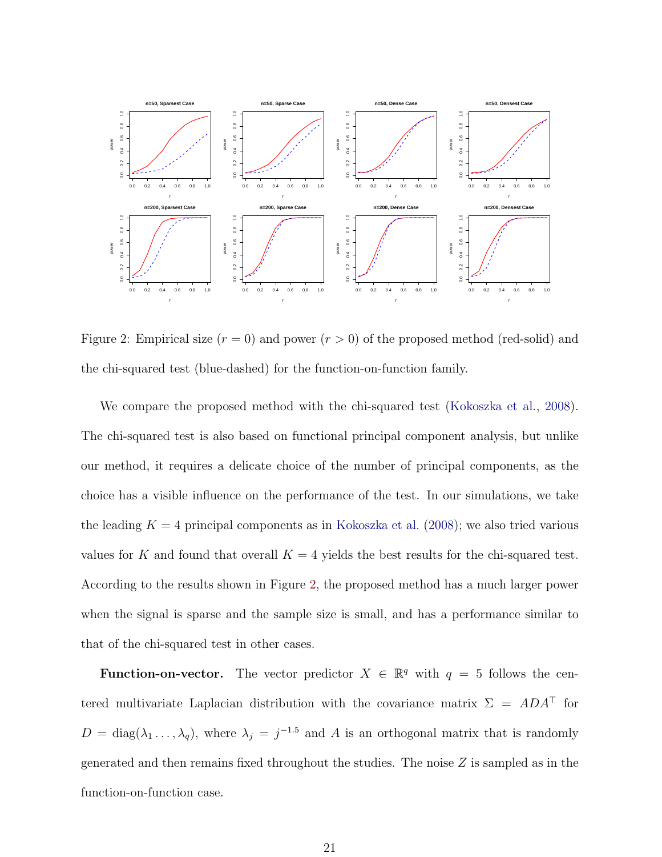

<span id="page-20-0"></span>Figure 2: Empirical size  $(r = 0)$  and power  $(r > 0)$  of the proposed method (red-solid) and the chi-squared test (blue-dashed) for the function-on-function family.

We compare the proposed method with the chi-squared test [\(Kokoszka et al.,](#page-27-4) [2008\)](#page-27-4). The chi-squared test is also based on functional principal component analysis, but unlike our method, it requires a delicate choice of the number of principal components, as the choice has a visible influence on the performance of the test. In our simulations, we take the leading  $K = 4$  principal components as in [Kokoszka et al.](#page-27-4) [\(2008\)](#page-27-4); we also tried various values for K and found that overall  $K = 4$  yields the best results for the chi-squared test. According to the results shown in Figure [2,](#page-20-0) the proposed method has a much larger power when the signal is sparse and the sample size is small, and has a performance similar to that of the chi-squared test in other cases.

**Function-on-vector.** The vector predictor  $X \in \mathbb{R}^q$  with  $q = 5$  follows the centered multivariate Laplacian distribution with the covariance matrix  $\Sigma = ADA^{\top}$  for  $D = \text{diag}(\lambda_1, \dots, \lambda_q)$ , where  $\lambda_j = j^{-1.5}$  and A is an orthogonal matrix that is randomly generated and then remains fixed throughout the studies. The noise  $Z$  is sampled as in the function-on-function case.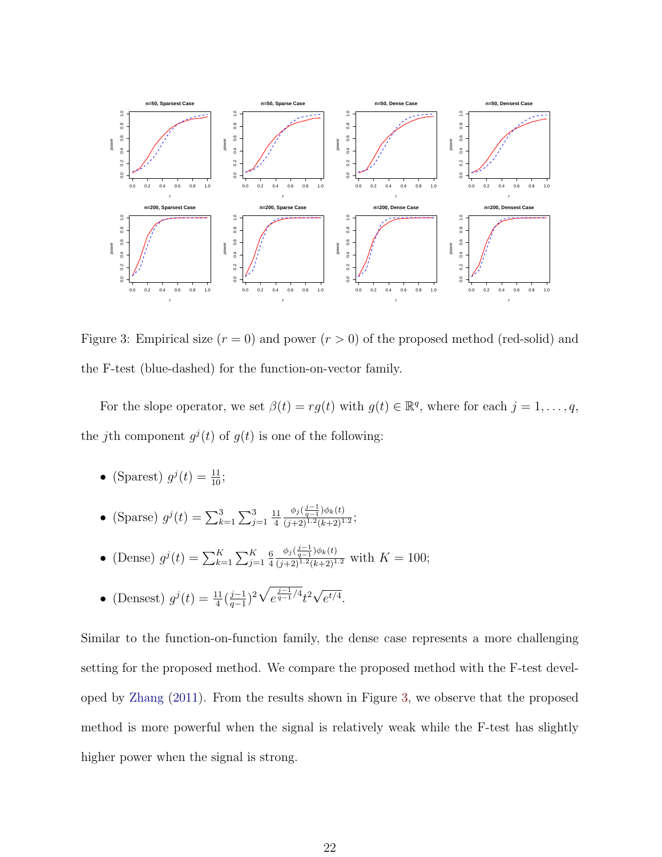

<span id="page-21-0"></span>Figure 3: Empirical size  $(r = 0)$  and power  $(r > 0)$  of the proposed method (red-solid) and the F-test (blue-dashed) for the function-on-vector family.

For the slope operator, we set  $\beta(t) = rg(t)$  with  $g(t) \in \mathbb{R}^q$ , where for each  $j = 1, \ldots, q$ , the jth component  $g^{j}(t)$  of  $g(t)$  is one of the following:

- (Sparest)  $g^j(t) = \frac{11}{10}$ ;
- (Sparse)  $g^{j}(t) = \sum_{k=1}^{3} \sum_{j=1}^{3}$ 11 4  $\phi_j(\frac{j-1}{q-1})\phi_k(t)$  $\frac{\varphi_{j \, \vee \, q-1} \, \varphi_{k \, \vee \, j}}{(j+2)^{1.2} (k+2)^{1.2}};$
- (Dense)  $g^j(t) = \sum_{k=1}^K \sum_{j=1}^K$ 6 4  $\frac{\phi_j(\frac{j-1}{q-1})\phi_k(t)}{(j+2)^{1.2}(k+2)^{1.2}}$  with  $K = 100$ ;
- (Densest)  $g^{j}(t) = \frac{11}{4}(\frac{j-1}{q-1})$  $\frac{j-1}{q-1}$ <sup>2</sup> $\sqrt{e^{\frac{j-1}{q-1}/4}}t^2\sqrt{ }$  $e^{t/4}.$

Similar to the function-on-function family, the dense case represents a more challenging setting for the proposed method. We compare the proposed method with the F-test developed by [Zhang](#page-29-4) [\(2011\)](#page-29-4). From the results shown in Figure [3,](#page-21-0) we observe that the proposed method is more powerful when the signal is relatively weak while the F-test has slightly higher power when the signal is strong.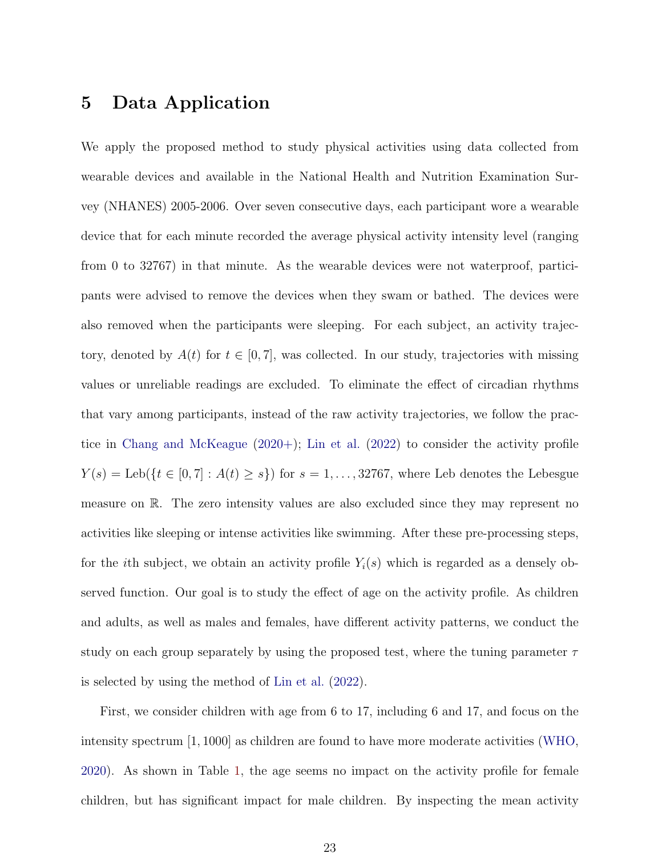# <span id="page-22-0"></span>5 Data Application

We apply the proposed method to study physical activities using data collected from wearable devices and available in the National Health and Nutrition Examination Survey (NHANES) 2005-2006. Over seven consecutive days, each participant wore a wearable device that for each minute recorded the average physical activity intensity level (ranging from 0 to 32767) in that minute. As the wearable devices were not waterproof, participants were advised to remove the devices when they swam or bathed. The devices were also removed when the participants were sleeping. For each subject, an activity trajectory, denoted by  $A(t)$  for  $t \in [0, 7]$ , was collected. In our study, trajectories with missing values or unreliable readings are excluded. To eliminate the effect of circadian rhythms that vary among participants, instead of the raw activity trajectories, we follow the practice in [Chang and McKeague](#page-26-10) [\(2020+\)](#page-26-10); [Lin et al.](#page-27-7) [\(2022\)](#page-27-7) to consider the activity profile  $Y(s) = \text{Leb}(\{t \in [0, 7] : A(t) \ge s\})$  for  $s = 1, \ldots, 32767$ , where Leb denotes the Lebesgue measure on R. The zero intensity values are also excluded since they may represent no activities like sleeping or intense activities like swimming. After these pre-processing steps, for the *i*th subject, we obtain an activity profile  $Y_i(s)$  which is regarded as a densely observed function. Our goal is to study the effect of age on the activity profile. As children and adults, as well as males and females, have different activity patterns, we conduct the study on each group separately by using the proposed test, where the tuning parameter  $\tau$ is selected by using the method of [Lin et al.](#page-27-7) [\(2022\)](#page-27-7).

First, we consider children with age from 6 to 17, including 6 and 17, and focus on the intensity spectrum [1, 1000] as children are found to have more moderate activities [\(WHO,](#page-29-9) [2020\)](#page-29-9). As shown in Table [1,](#page-23-0) the age seems no impact on the activity profile for female children, but has significant impact for male children. By inspecting the mean activity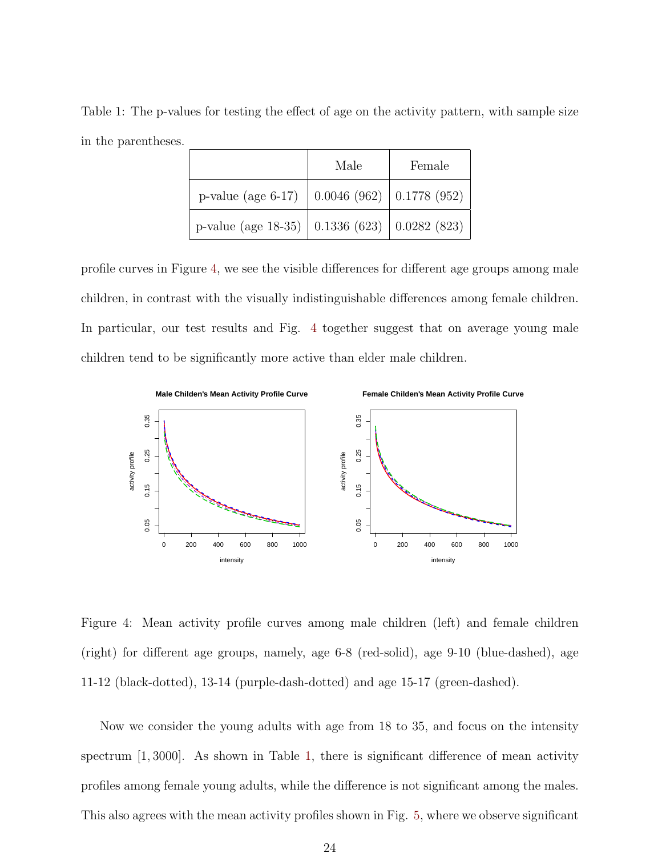<span id="page-23-0"></span>Table 1: The p-values for testing the effect of age on the activity pattern, with sample size in the parentheses.

|                                                               | Male | Female |
|---------------------------------------------------------------|------|--------|
| p-value (age 6-17) $\vert$ 0.0046 (962) $\vert$ 0.1778 (952)  |      |        |
| p-value (age 18-35) $\vert$ 0.1336 (623) $\vert$ 0.0282 (823) |      |        |

profile curves in Figure [4,](#page-23-1) we see the visible differences for different age groups among male children, in contrast with the visually indistinguishable differences among female children. In particular, our test results and Fig. [4](#page-23-1) together suggest that on average young male children tend to be significantly more active than elder male children.



<span id="page-23-1"></span>Figure 4: Mean activity profile curves among male children (left) and female children (right) for different age groups, namely, age 6-8 (red-solid), age 9-10 (blue-dashed), age 11-12 (black-dotted), 13-14 (purple-dash-dotted) and age 15-17 (green-dashed).

Now we consider the young adults with age from 18 to 35, and focus on the intensity spectrum [1, 3000]. As shown in Table [1,](#page-23-0) there is significant difference of mean activity profiles among female young adults, while the difference is not significant among the males. This also agrees with the mean activity profiles shown in Fig. [5,](#page-30-0) where we observe significant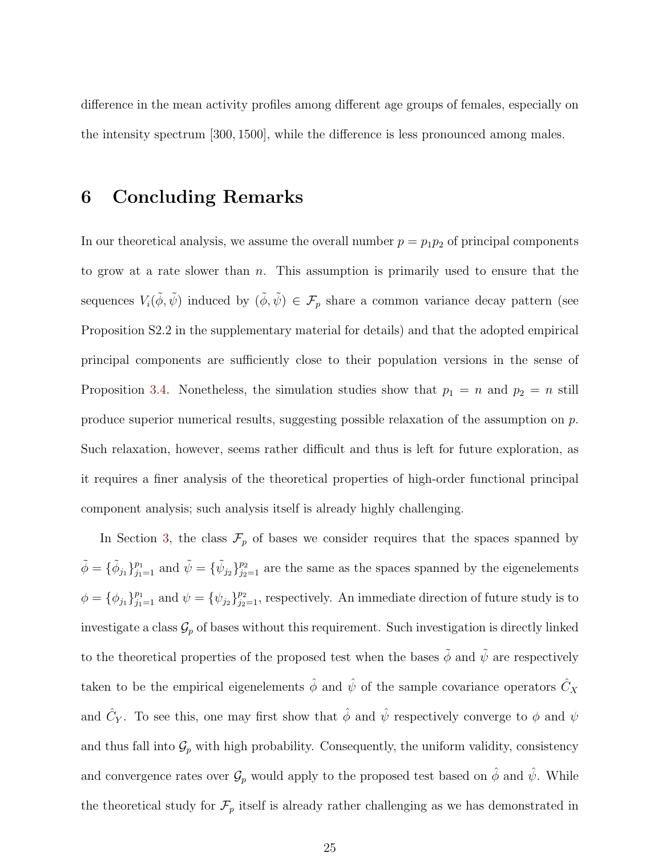difference in the mean activity profiles among different age groups of females, especially on the intensity spectrum [300, 1500], while the difference is less pronounced among males.

#### <span id="page-24-0"></span>6 Concluding Remarks

In our theoretical analysis, we assume the overall number  $p = p_1p_2$  of principal components to grow at a rate slower than  $n$ . This assumption is primarily used to ensure that the sequences  $V_i(\tilde{\phi}, \tilde{\psi})$  induced by  $(\tilde{\phi}, \tilde{\psi}) \in \mathcal{F}_p$  share a common variance decay pattern (see Proposition S2.2 in the supplementary material for details) and that the adopted empirical principal components are sufficiently close to their population versions in the sense of Proposition [3.4.](#page-14-0) Nonetheless, the simulation studies show that  $p_1 = n$  and  $p_2 = n$  still produce superior numerical results, suggesting possible relaxation of the assumption on  $p$ . Such relaxation, however, seems rather difficult and thus is left for future exploration, as it requires a finer analysis of the theoretical properties of high-order functional principal component analysis; such analysis itself is already highly challenging.

In Section [3,](#page-11-0) the class  $\mathcal{F}_p$  of bases we consider requires that the spaces spanned by  $\tilde{\phi} = {\{\tilde{\phi}_{j_1}\}}_{j_1=1}^{p_1}$  and  $\tilde{\psi} = {\{\tilde{\psi}_{j_2}\}}_{j_2=1}^{p_2}$  are the same as the spaces spanned by the eigenelements  $\phi = {\phi_{j_1}}_{j_1=1}^{p_1}$  and  $\psi = {\psi_{j_2}}_{j_2=1}^{p_2}$ , respectively. An immediate direction of future study is to investigate a class  $\mathcal{G}_p$  of bases without this requirement. Such investigation is directly linked to the theoretical properties of the proposed test when the bases  $\tilde{\phi}$  and  $\tilde{\psi}$  are respectively taken to be the empirical eigenelements  $\hat{\phi}$  and  $\hat{\psi}$  of the sample covariance operators  $\hat{C}_X$ and  $\hat{C}_Y$ . To see this, one may first show that  $\hat{\phi}$  and  $\hat{\psi}$  respectively converge to  $\phi$  and  $\psi$ and thus fall into  $\mathcal{G}_p$  with high probability. Consequently, the uniform validity, consistency and convergence rates over  $\mathcal{G}_p$  would apply to the proposed test based on  $\hat{\phi}$  and  $\hat{\psi}$ . While the theoretical study for  $\mathcal{F}_p$  itself is already rather challenging as we has demonstrated in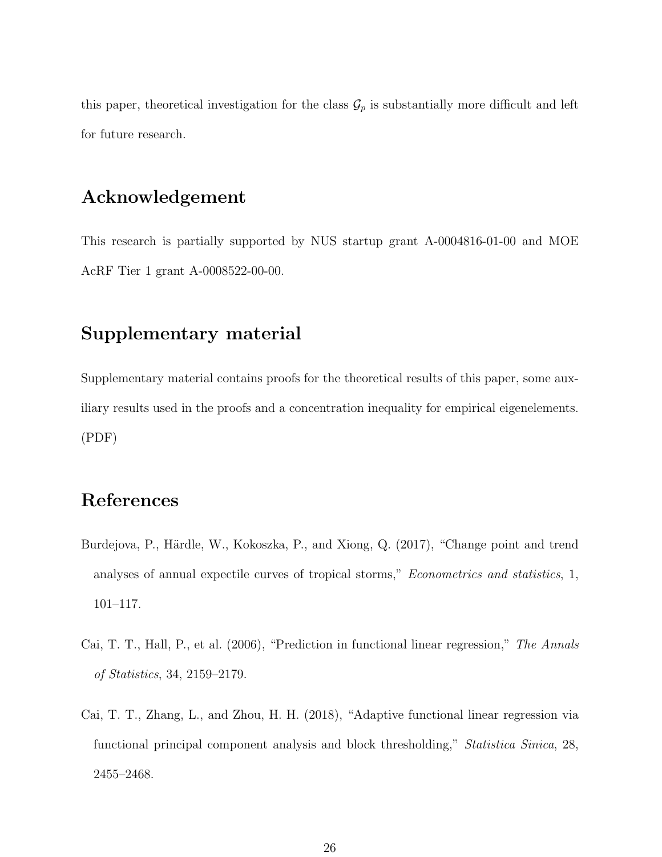this paper, theoretical investigation for the class  $\mathcal{G}_p$  is substantially more difficult and left for future research.

#### Acknowledgement

This research is partially supported by NUS startup grant A-0004816-01-00 and MOE AcRF Tier 1 grant A-0008522-00-00.

## Supplementary material

Supplementary material contains proofs for the theoretical results of this paper, some auxiliary results used in the proofs and a concentration inequality for empirical eigenelements. (PDF)

# References

- <span id="page-25-1"></span>Burdejova, P., Härdle, W., Kokoszka, P., and Xiong, Q. (2017), "Change point and trend analyses of annual expectile curves of tropical storms," Econometrics and statistics, 1, 101–117.
- <span id="page-25-0"></span>Cai, T. T., Hall, P., et al. (2006), "Prediction in functional linear regression," The Annals of Statistics, 34, 2159–2179.
- <span id="page-25-2"></span>Cai, T. T., Zhang, L., and Zhou, H. H. (2018), "Adaptive functional linear regression via functional principal component analysis and block thresholding," Statistica Sinica, 28, 2455–2468.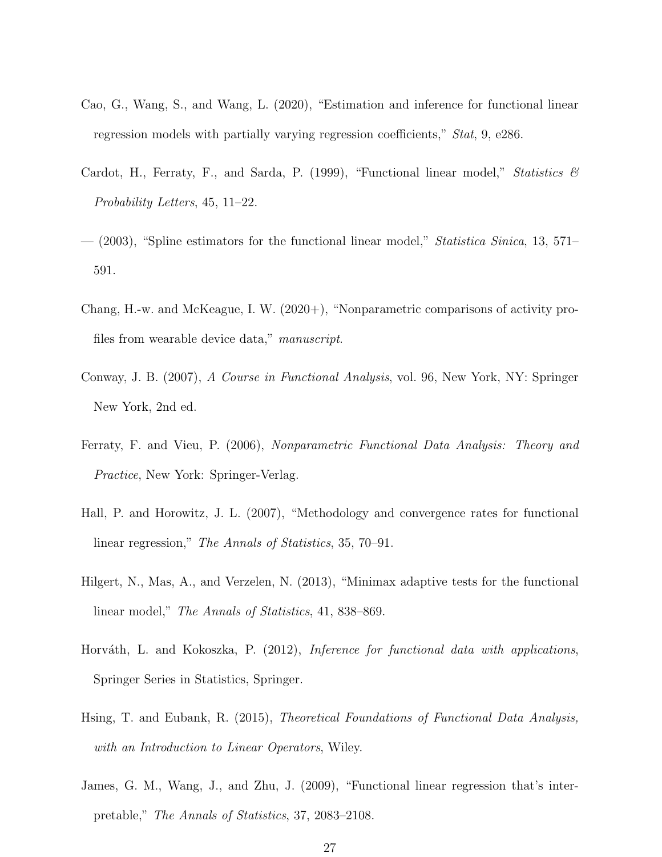- <span id="page-26-3"></span>Cao, G., Wang, S., and Wang, L. (2020), "Estimation and inference for functional linear regression models with partially varying regression coefficients," Stat, 9, e286.
- <span id="page-26-5"></span>Cardot, H., Ferraty, F., and Sarda, P. (1999), "Functional linear model," Statistics  $\mathscr$ Probability Letters, 45, 11–22.
- <span id="page-26-6"></span> $-$  (2003), "Spline estimators for the functional linear model," *Statistica Sinica*, 13, 571– 591.
- <span id="page-26-10"></span>Chang, H.-w. and McKeague, I. W. (2020+), "Nonparametric comparisons of activity profiles from wearable device data," manuscript.
- <span id="page-26-4"></span>Conway, J. B. (2007), A Course in Functional Analysis, vol. 96, New York, NY: Springer New York, 2nd ed.
- <span id="page-26-0"></span>Ferraty, F. and Vieu, P. (2006), Nonparametric Functional Data Analysis: Theory and Practice, New York: Springer-Verlag.
- <span id="page-26-7"></span>Hall, P. and Horowitz, J. L. (2007), "Methodology and convergence rates for functional linear regression," The Annals of Statistics, 35, 70–91.
- <span id="page-26-9"></span>Hilgert, N., Mas, A., and Verzelen, N. (2013), "Minimax adaptive tests for the functional linear model," The Annals of Statistics, 41, 838–869.
- <span id="page-26-2"></span>Horváth, L. and Kokoszka, P. (2012), *Inference for functional data with applications*, Springer Series in Statistics, Springer.
- <span id="page-26-1"></span>Hsing, T. and Eubank, R. (2015), Theoretical Foundations of Functional Data Analysis, with an Introduction to Linear Operators, Wiley.
- <span id="page-26-8"></span>James, G. M., Wang, J., and Zhu, J. (2009), "Functional linear regression that's interpretable," The Annals of Statistics, 37, 2083–2108.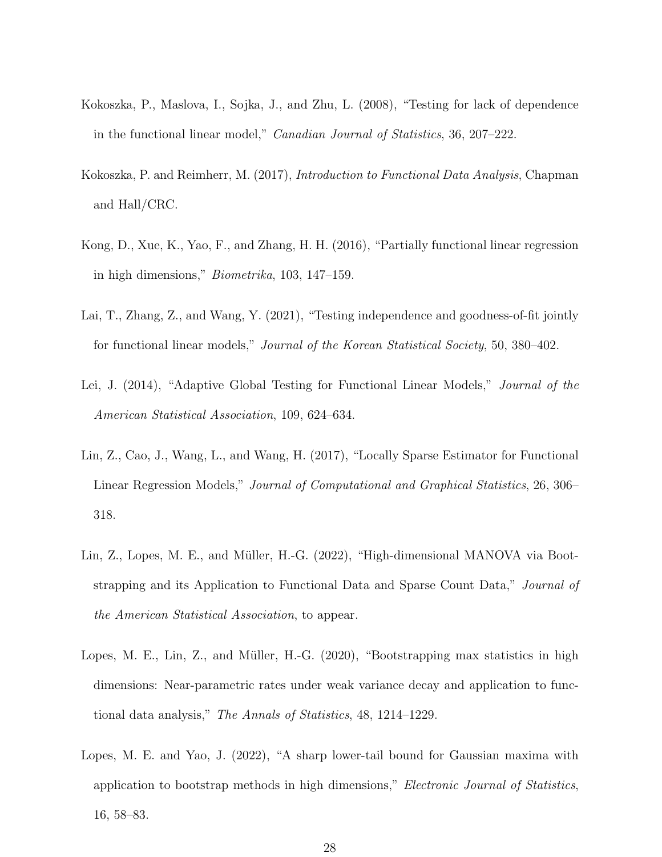- <span id="page-27-4"></span>Kokoszka, P., Maslova, I., Sojka, J., and Zhu, L. (2008), "Testing for lack of dependence in the functional linear model," Canadian Journal of Statistics, 36, 207–222.
- <span id="page-27-0"></span>Kokoszka, P. and Reimherr, M. (2017), Introduction to Functional Data Analysis, Chapman and Hall/CRC.
- <span id="page-27-2"></span>Kong, D., Xue, K., Yao, F., and Zhang, H. H. (2016), "Partially functional linear regression in high dimensions," Biometrika, 103, 147–159.
- <span id="page-27-5"></span>Lai, T., Zhang, Z., and Wang, Y. (2021), "Testing independence and goodness-of-fit jointly for functional linear models," Journal of the Korean Statistical Society, 50, 380–402.
- <span id="page-27-3"></span>Lei, J. (2014), "Adaptive Global Testing for Functional Linear Models," Journal of the American Statistical Association, 109, 624–634.
- <span id="page-27-1"></span>Lin, Z., Cao, J., Wang, L., and Wang, H. (2017), "Locally Sparse Estimator for Functional Linear Regression Models," Journal of Computational and Graphical Statistics, 26, 306– 318.
- <span id="page-27-7"></span>Lin, Z., Lopes, M. E., and Müller, H.-G. (2022), "High-dimensional MANOVA via Bootstrapping and its Application to Functional Data and Sparse Count Data," Journal of the American Statistical Association, to appear.
- <span id="page-27-6"></span>Lopes, M. E., Lin, Z., and Müller, H.-G.  $(2020)$ , "Bootstrapping max statistics in high dimensions: Near-parametric rates under weak variance decay and application to functional data analysis," The Annals of Statistics, 48, 1214–1229.
- <span id="page-27-8"></span>Lopes, M. E. and Yao, J. (2022), "A sharp lower-tail bound for Gaussian maxima with application to bootstrap methods in high dimensions," Electronic Journal of Statistics, 16, 58–83.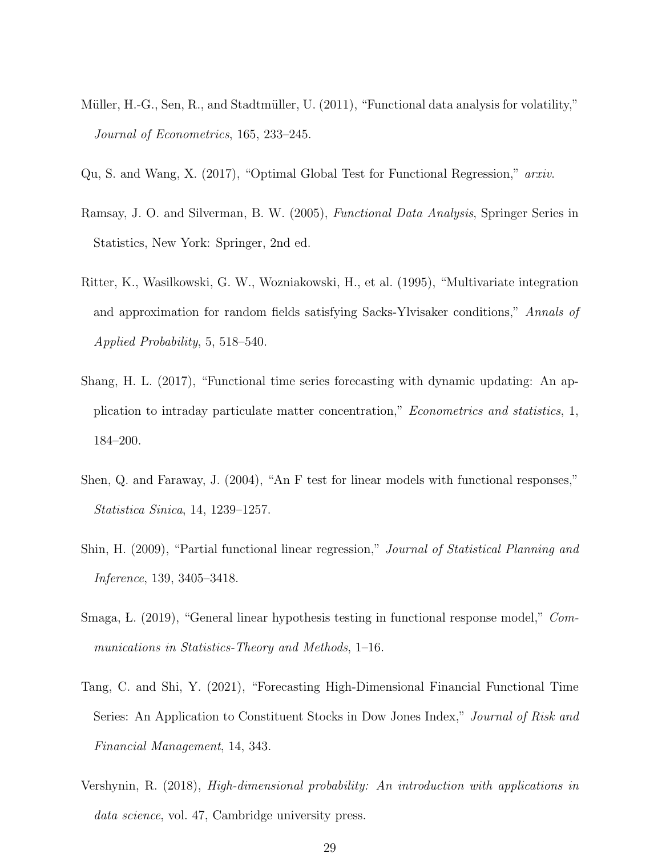- <span id="page-28-6"></span>Müller, H.-G., Sen, R., and Stadtmüller, U. (2011), "Functional data analysis for volatility," Journal of Econometrics, 165, 233–245.
- <span id="page-28-3"></span><span id="page-28-0"></span>Qu, S. and Wang, X. (2017), "Optimal Global Test for Functional Regression," arxiv.
- Ramsay, J. O. and Silverman, B. W. (2005), Functional Data Analysis, Springer Series in Statistics, New York: Springer, 2nd ed.
- <span id="page-28-9"></span>Ritter, K., Wasilkowski, G. W., Wozniakowski, H., et al. (1995), "Multivariate integration and approximation for random fields satisfying Sacks-Ylvisaker conditions," Annals of Applied Probability, 5, 518–540.
- <span id="page-28-5"></span>Shang, H. L. (2017), "Functional time series forecasting with dynamic updating: An application to intraday particulate matter concentration," Econometrics and statistics, 1, 184–200.
- <span id="page-28-1"></span>Shen, Q. and Faraway, J. (2004), "An F test for linear models with functional responses," Statistica Sinica, 14, 1239–1257.
- <span id="page-28-2"></span>Shin, H. (2009), "Partial functional linear regression," Journal of Statistical Planning and Inference, 139, 3405–3418.
- <span id="page-28-4"></span>Smaga, L. (2019), "General linear hypothesis testing in functional response model," Communications in Statistics-Theory and Methods, 1–16.
- <span id="page-28-7"></span>Tang, C. and Shi, Y. (2021), "Forecasting High-Dimensional Financial Functional Time Series: An Application to Constituent Stocks in Dow Jones Index," Journal of Risk and Financial Management, 14, 343.
- <span id="page-28-8"></span>Vershynin, R. (2018), High-dimensional probability: An introduction with applications in data science, vol. 47, Cambridge university press.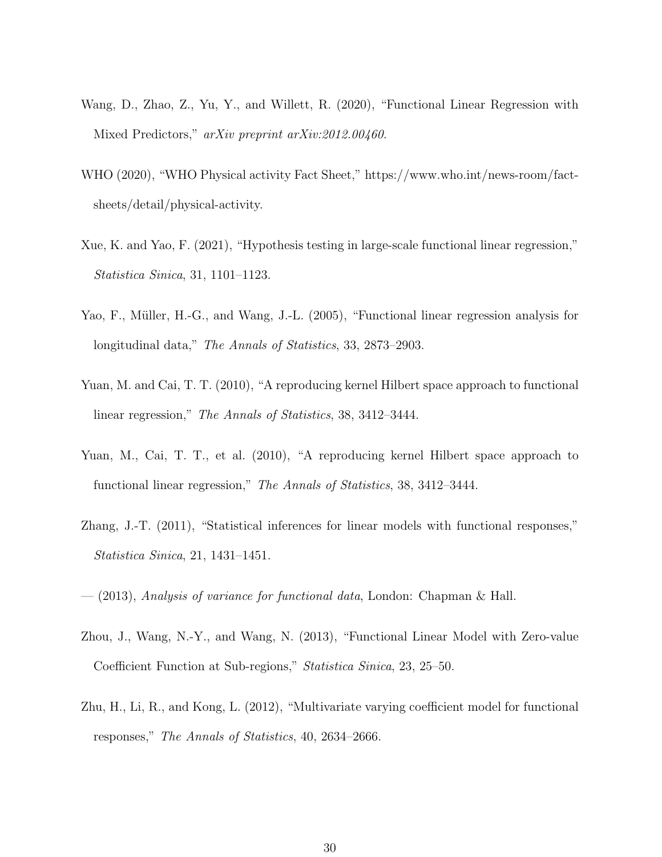- <span id="page-29-6"></span>Wang, D., Zhao, Z., Yu, Y., and Willett, R. (2020), "Functional Linear Regression with Mixed Predictors," arXiv preprint arXiv:2012.00460.
- <span id="page-29-9"></span>WHO (2020), "WHO Physical activity Fact Sheet," https://www.who.int/news-room/factsheets/detail/physical-activity.
- <span id="page-29-7"></span>Xue, K. and Yao, F. (2021), "Hypothesis testing in large-scale functional linear regression," Statistica Sinica, 31, 1101–1123.
- <span id="page-29-1"></span>Yao, F., Müller, H.-G., and Wang, J.-L. (2005), "Functional linear regression analysis for longitudinal data," The Annals of Statistics, 33, 2873–2903.
- <span id="page-29-2"></span>Yuan, M. and Cai, T. T. (2010), "A reproducing kernel Hilbert space approach to functional linear regression," The Annals of Statistics, 38, 3412–3444.
- <span id="page-29-8"></span>Yuan, M., Cai, T. T., et al. (2010), "A reproducing kernel Hilbert space approach to functional linear regression," The Annals of Statistics, 38, 3412–3444.
- <span id="page-29-4"></span>Zhang, J.-T. (2011), "Statistical inferences for linear models with functional responses," Statistica Sinica, 21, 1431–1451.
- <span id="page-29-3"></span><span id="page-29-0"></span> $-$  (2013), Analysis of variance for functional data, London: Chapman & Hall.
- Zhou, J., Wang, N.-Y., and Wang, N. (2013), "Functional Linear Model with Zero-value Coefficient Function at Sub-regions," Statistica Sinica, 23, 25–50.
- <span id="page-29-5"></span>Zhu, H., Li, R., and Kong, L. (2012), "Multivariate varying coefficient model for functional responses," The Annals of Statistics, 40, 2634–2666.